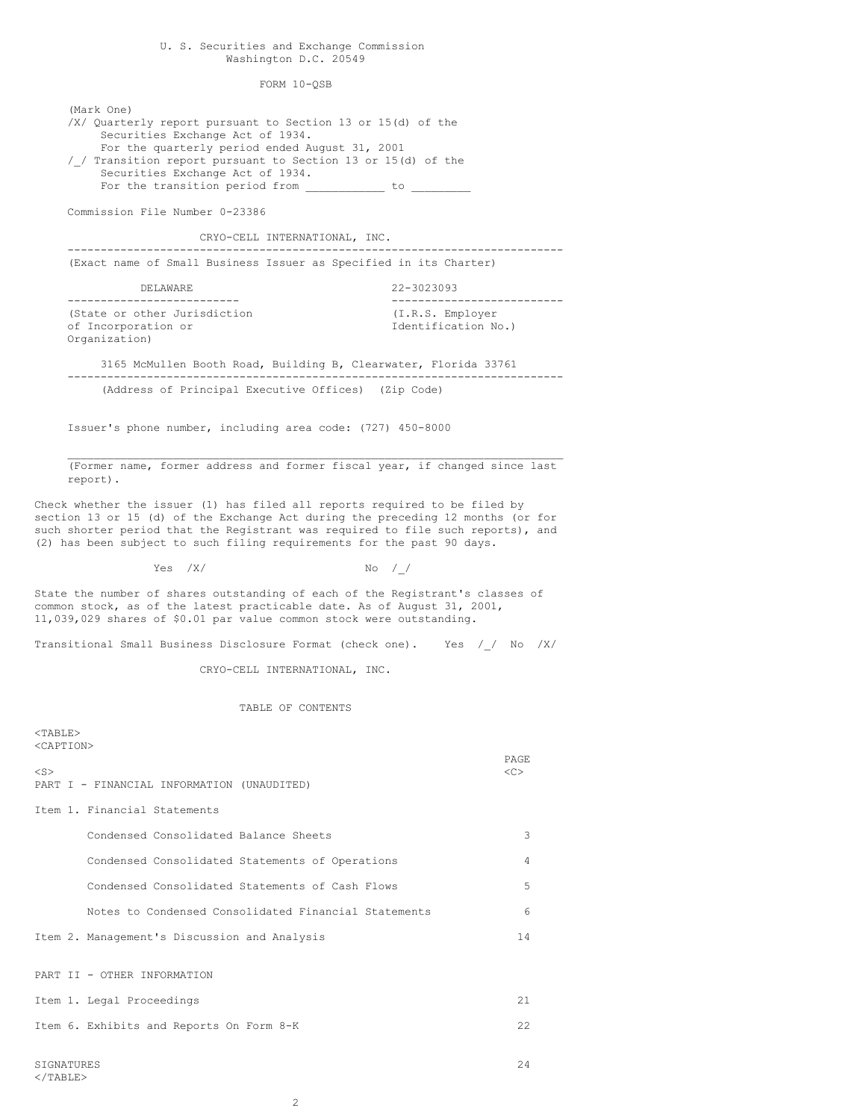# U. S. Securities and Exchange Commission Washington D.C. 20549

FORM 10-QSB

(Mark One)

/X/ Quarterly report pursuant to Section 13 or 15(d) of the Securities Exchange Act of 1934. For the quarterly period ended August 31, 2001 /\_/ Transition report pursuant to Section 13 or 15(d) of the Securities Exchange Act of 1934. For the transition period from \_\_\_\_\_\_\_\_\_\_\_\_ to \_\_ Commission File Number 0-23386 CRYO-CELL INTERNATIONAL, INC. --------------------------------------------------------------------------- (Exact name of Small Business Issuer as Specified in its Charter) DELAWARE 22-3023093 -------------------------- -------------------------- (State or other Jurisdiction (I.R.S. Employer of Incorporation or  $I$ dentification No.) Organization) 3165 McMullen Booth Road, Building B, Clearwater, Florida 33761 --------------------------------------------------------------------------- (Address of Principal Executive Offices) (Zip Code) Issuer's phone number, including area code: (727) 450-8000  $\mathcal{L}_\mathcal{L} = \mathcal{L}_\mathcal{L} = \mathcal{L}_\mathcal{L} = \mathcal{L}_\mathcal{L} = \mathcal{L}_\mathcal{L} = \mathcal{L}_\mathcal{L} = \mathcal{L}_\mathcal{L} = \mathcal{L}_\mathcal{L} = \mathcal{L}_\mathcal{L} = \mathcal{L}_\mathcal{L} = \mathcal{L}_\mathcal{L} = \mathcal{L}_\mathcal{L} = \mathcal{L}_\mathcal{L} = \mathcal{L}_\mathcal{L} = \mathcal{L}_\mathcal{L} = \mathcal{L}_\mathcal{L} = \mathcal{L}_\mathcal{L}$ (Former name, former address and former fiscal year, if changed since last report). Check whether the issuer (1) has filed all reports required to be filed by section 13 or 15 (d) of the Exchange Act during the preceding 12 months (or for such shorter period that the Registrant was required to file such reports), and (2) has been subject to such filing requirements for the past 90 days.  $Yes$  /X/  $No$  / / State the number of shares outstanding of each of the Registrant's classes of common stock, as of the latest practicable date. As of August 31, 2001, 11,039,029 shares of \$0.01 par value common stock were outstanding. Transitional Small Business Disclosure Format (check one). Yes // No /X/ CRYO-CELL INTERNATIONAL, INC. TABLE OF CONTENTS  $<$ TABLE> <CAPTION> PAGE  $\langle$ S>  $\langle$ C> PART I - FINANCIAL INFORMATION (UNAUDITED) Item 1. Financial Statements Condensed Consolidated Balance Sheets 3 Condensed Consolidated Statements of Operations 4 Condensed Consolidated Statements of Cash Flows 5 Notes to Condensed Consolidated Financial Statements 6 Item 2. Management's Discussion and Analysis 14 PART II - OTHER INFORMATION Item 1. Legal Proceedings 21 Item 6. Exhibits and Reports On Form 8-K 22 SIGNATURES 24  $<$ /TABLE>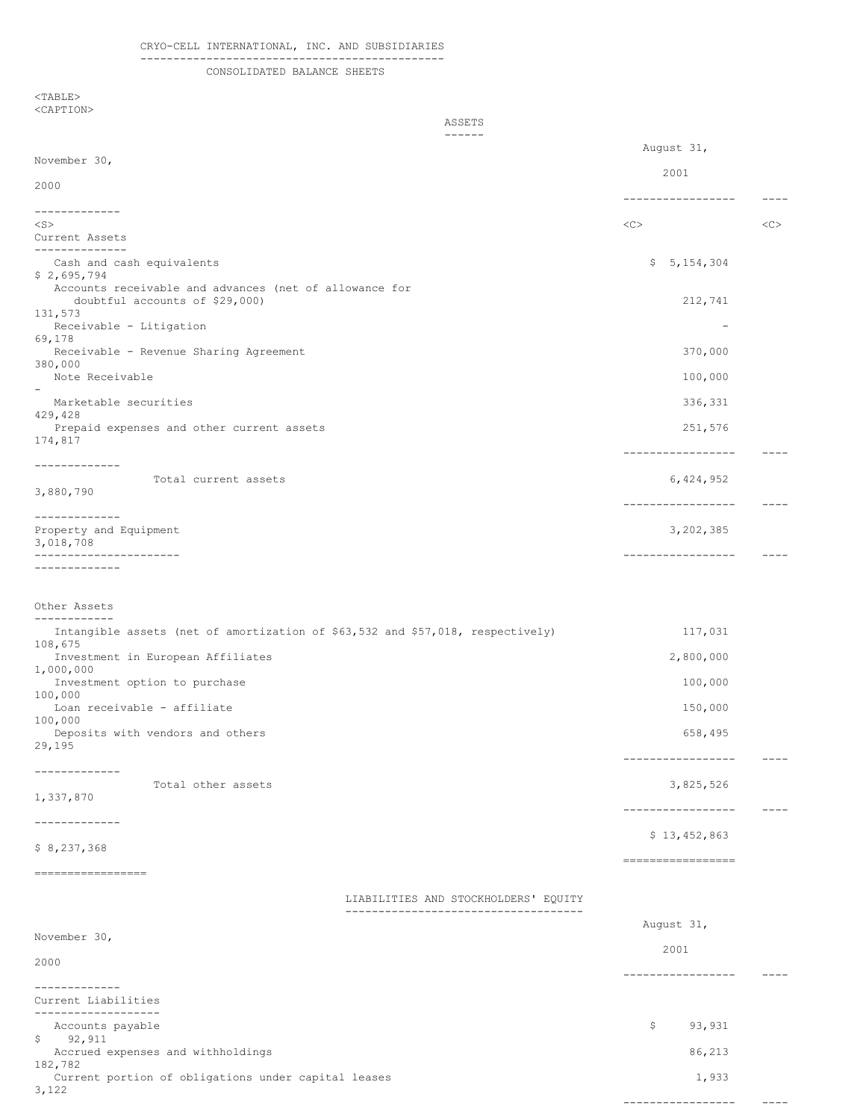# CRYO-CELL INTERNATIONAL, INC. AND SUBSIDIARIES

# ----------------------------------------------

CONSOLIDATED BALANCE SHEETS

 $<$ TABLE $>$ <CAPTION>

|                                                                                                           | ASSETS                               |                              |             |
|-----------------------------------------------------------------------------------------------------------|--------------------------------------|------------------------------|-------------|
|                                                                                                           | ------                               | August 31,                   |             |
| November 30,                                                                                              |                                      | 2001                         |             |
| 2000                                                                                                      |                                      | -----------------            |             |
| -------------                                                                                             |                                      |                              |             |
| $<$ S $>$<br>Current Assets                                                                               |                                      | <<                           | <<          |
| --------------<br>Cash and cash equivalents<br>\$2,695,794                                                |                                      | \$5, 154, 304                |             |
| Accounts receivable and advances (net of allowance for<br>doubtful accounts of \$29,000)<br>131,573       |                                      | 212,741                      |             |
| Receivable - Litigation                                                                                   |                                      | $\overline{\phantom{a}}$     |             |
| 69,178<br>Receivable - Revenue Sharing Agreement                                                          |                                      | 370,000                      |             |
| 380,000<br>Note Receivable                                                                                |                                      | 100,000                      |             |
| Marketable securities                                                                                     |                                      | 336,331                      |             |
| 429,428                                                                                                   |                                      |                              |             |
| Prepaid expenses and other current assets<br>174,817                                                      |                                      | 251,576<br>----------------- |             |
| -------------<br>Total current assets                                                                     |                                      | 6,424,952                    |             |
| 3,880,790                                                                                                 |                                      | -----------------            |             |
| -------------<br>Property and Equipment<br>3,018,708                                                      |                                      | 3,202,385                    |             |
| ----------------------<br>-------------                                                                   |                                      | -----------------            | $---$       |
| Other Assets                                                                                              |                                      |                              |             |
| ------------<br>Intangible assets (net of amortization of \$63,532 and \$57,018, respectively)<br>108,675 |                                      | 117,031                      |             |
| Investment in European Affiliates<br>1,000,000                                                            |                                      | 2,800,000                    |             |
| Investment option to purchase<br>100,000                                                                  |                                      | 100,000                      |             |
| Loan receivable - affiliate<br>100,000                                                                    |                                      | 150,000                      |             |
| Deposits with vendors and others<br>29,195                                                                |                                      | 658,495<br>----------------- | $- - - - -$ |
| -------------<br>Total other assets                                                                       |                                      | 3,825,526                    |             |
| 1,337,870                                                                                                 |                                      | -----------------            | $---$       |
| -------------<br>\$8,237,368                                                                              |                                      | \$13,452,863                 |             |
|                                                                                                           |                                      | ==================           |             |
| ------------------                                                                                        | LIABILITIES AND STOCKHOLDERS' EQUITY |                              |             |
|                                                                                                           |                                      | August 31,                   |             |
| November 30,                                                                                              |                                      |                              |             |
| 2000                                                                                                      |                                      | 2001<br>----------------     |             |
| ------------<br>Current Liabilities                                                                       |                                      |                              |             |
| --------------<br>Accounts payable                                                                        |                                      | Ş.<br>93,931                 |             |
| \$<br>92,911<br>Accrued expenses and withholdings                                                         |                                      | 86,213                       |             |
| 182,782<br>Current portion of obligations under capital leases                                            |                                      | 1,933                        |             |
| 3,122                                                                                                     |                                      |                              |             |

----------------- ----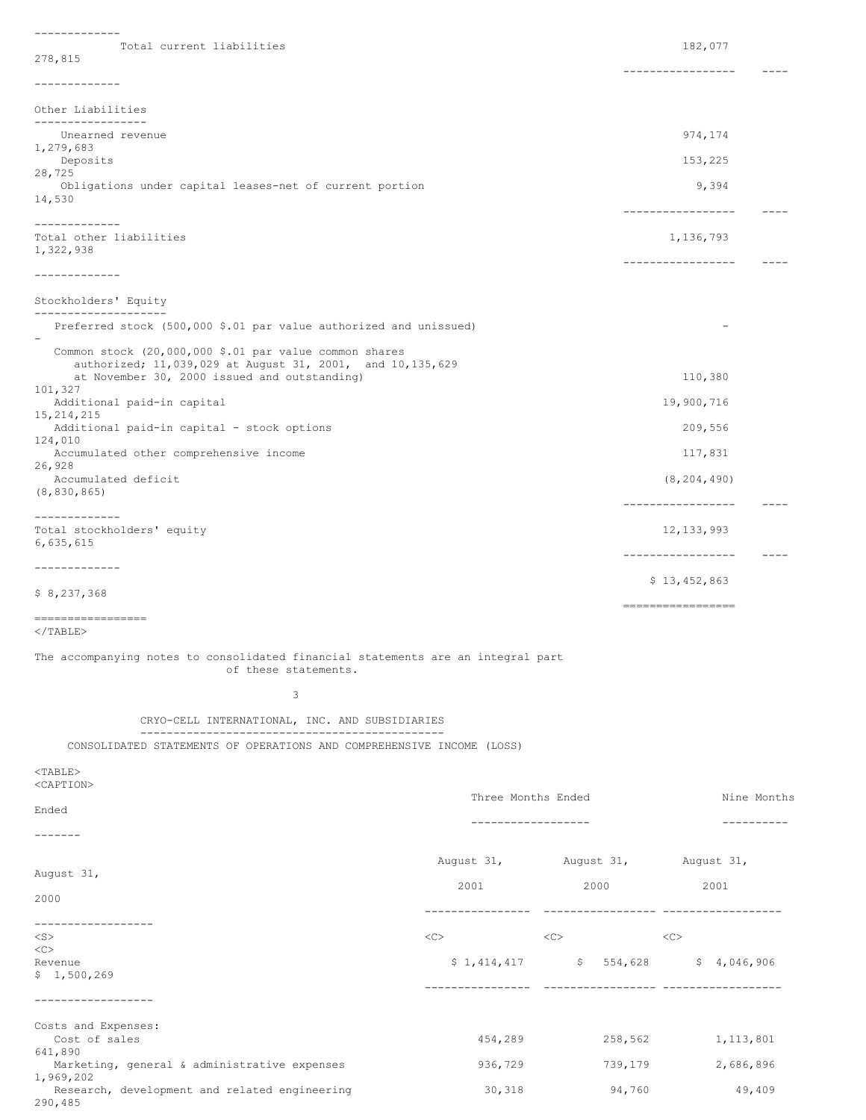------------- Total current liabilities 182,077 278,815 ----------------- ---- ------------- Other Liabilities ----------------- Unearned revenue 974,174 1,279,683<br>Deposits Deposits 153,225 28,725 Obligations under capital leases-net of current portion 9,394 14,530 ----------------- ---- ------------- Total other liabilities 1,136,793 1,322,938 ----------------- ---- ------------- Stockholders' Equity -------------------- Preferred stock (500,000 \$.01 par value authorized and unissued) - Common stock (20,000,000 \$.01 par value common shares authorized; 11,039,029 at August 31, 2001, and 10,135,629 at November 30, 2000 issued and outstanding) 110,380 101,327 Additional paid-in capital 19,900,716 15,214,215 Additional paid-in capital - stock options 209,556 124,010 Accumulated other comprehensive income 117,831 26,928 Accumulated deficit (8,204,490) (8,830,865) ----------------- ---- ------------- Total stockholders' equity and the stockholders' equity and the stockholders' equity and the stockholders' equity 6,635,615 ----------------- ---- ------------- \$ 13,452,863 \$ 8,237,368 ================= =================  $<$ /TABLE $>$ The accompanying notes to consolidated financial statements are an integral part of these statements. 3 CRYO-CELL INTERNATIONAL, INC. AND SUBSIDIARIES ---------------------------------------------- CONSOLIDATED STATEMENTS OF OPERATIONS AND COMPREHENSIVE INCOME (LOSS) <TABLE> <CAPTION> Three Months Ended Nine Months Ended ------------------ ---------- ------- August 31, August 31, August 31, August 31, 2001 2000 2001 2000 ---------------- ----------------- ------------------ ------------------ <S> <C> <C> <C> <C><br>Revenue  $$1,414,417$   $$554,628$   $$4,046,906$ \$ 1,500,269 ---------------- ----------------- ------------------ ------------------ Costs and Expenses: Cost of sales 454,289 258,562 1,113,801 641,890 Marketing, general & administrative expenses 586,729 739,179 2,686,896 1,969,202 Research, development and related engineering 30,318 94,760 49,409

290,485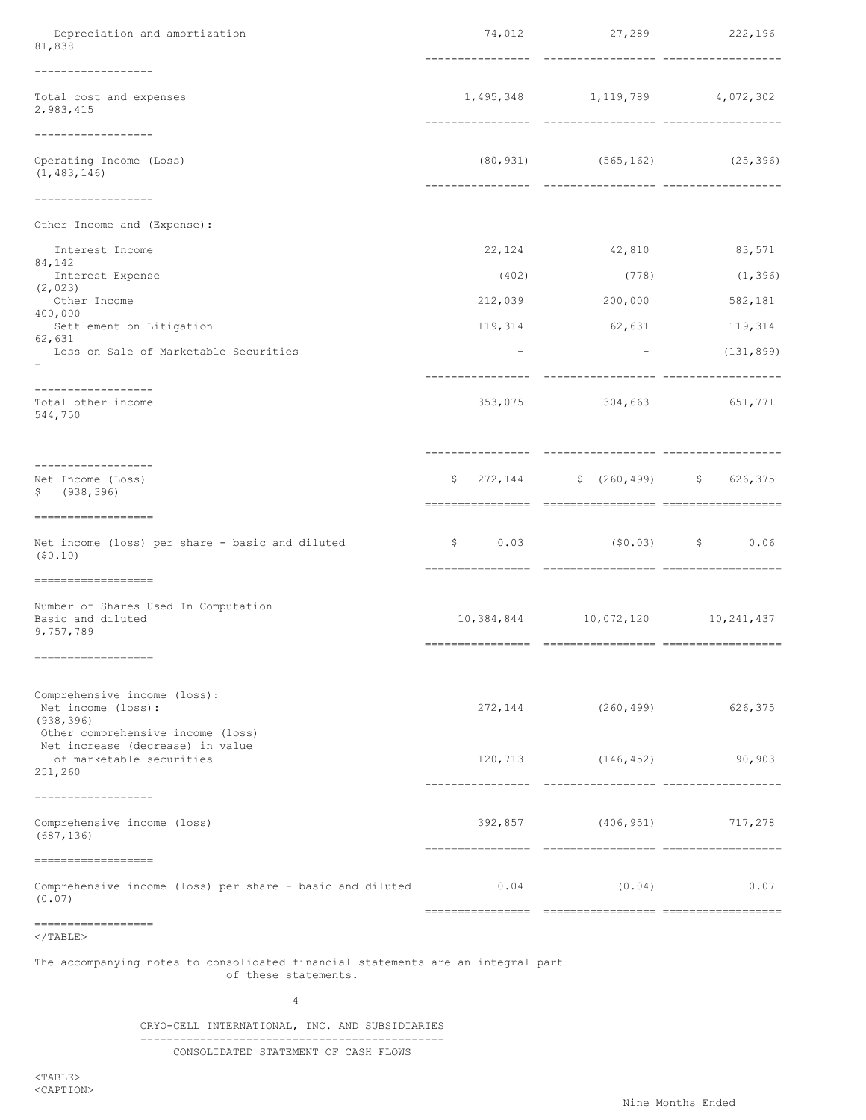| Depreciation and amortization<br>81,838                                                               | 74,012                   | 27,289 222,196                         |            |
|-------------------------------------------------------------------------------------------------------|--------------------------|----------------------------------------|------------|
| ------------------<br>Total cost and expenses<br>2,983,415                                            |                          | 1,495,348 1,119,789 4,072,302          |            |
| -----------------<br>Operating Income (Loss)<br>(1, 483, 146)                                         |                          | $(80, 931)$ $(565, 162)$ $(25, 396)$   |            |
| ----------------<br>Other Income and (Expense):                                                       |                          |                                        |            |
| Interest Income                                                                                       |                          | 22, 124 42, 810                        | 83,571     |
| 84,142<br>Interest Expense                                                                            | (402)                    | (778)                                  | (1, 396)   |
| (2, 023)<br>Other Income                                                                              | 212,039                  | 200,000                                | 582,181    |
| 400,000<br>Settlement on Litigation                                                                   | 119,314                  | 62,631                                 | 119,314    |
| 62,631<br>Loss on Sale of Marketable Securities                                                       | $\overline{\phantom{a}}$ | the company's company's com-           | (131, 899) |
| -----------------<br>Total other income<br>544,750                                                    |                          | 353,075 304,663 651,771                |            |
| -----------------<br>Net Income (Loss)<br>\$ (938, 396)                                               |                          | $$272,144$ $$(260,499)$ $$626,375$     |            |
| ==================<br>Net income (loss) per share - basic and diluted<br>(50.10)                      |                          | $$0.03$ (\$0.03) \$ 0.06               |            |
| ==================<br>Number of Shares Used In Computation<br>Basic and diluted<br>9,757,789          |                          | 10, 384, 844 10, 072, 120 10, 241, 437 |            |
| ===================                                                                                   |                          |                                        |            |
| Comprehensive income (loss):<br>Net income (loss):<br>(938, 396)<br>Other comprehensive income (loss) | 272, 144                 | (260, 499)                             | 626,375    |
| Net increase (decrease) in value<br>of marketable securities<br>251,260                               |                          | 120,713 (146,452)                      | 90,903     |
| ------------------<br>Comprehensive income (loss)<br>(687, 136)                                       |                          | 392,857 (406,951) 717,278              |            |
| -------------------<br>Comprehensive income (loss) per share - basic and diluted<br>(0.07)            | 0.04                     | (0.04)                                 | 0.07       |
| -------------------<br>$\langle$ /TABLE>                                                              |                          |                                        |            |

The accompanying notes to consolidated financial statements are an integral part of these statements.

4

CRYO-CELL INTERNATIONAL, INC. AND SUBSIDIARIES ---------------------------------------------- CONSOLIDATED STATEMENT OF CASH FLOWS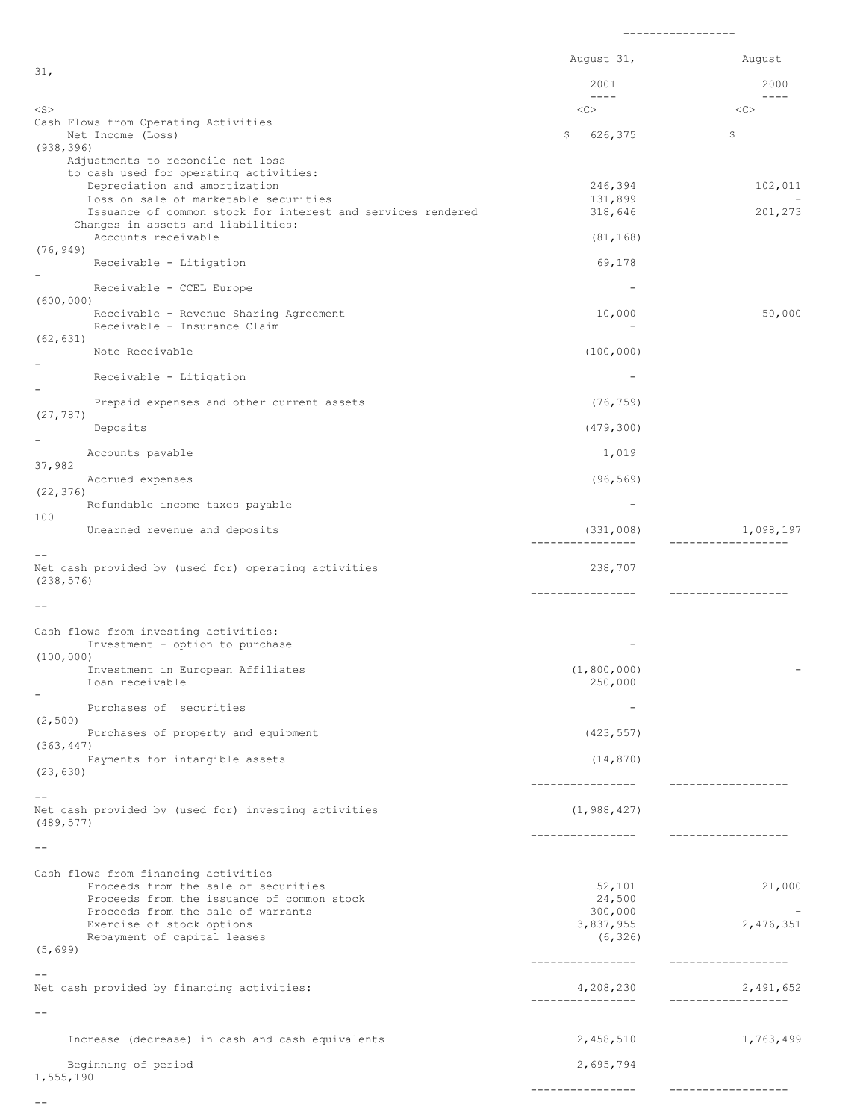|                                                                                                   | August 31,                     | August                          |
|---------------------------------------------------------------------------------------------------|--------------------------------|---------------------------------|
| 31,                                                                                               | 2001                           | 2000                            |
| <s></s>                                                                                           | $- - - - -$<br><<              | $- - - -$<br><<                 |
| Cash Flows from Operating Activities<br>Net Income (Loss)                                         | 626,375<br>\$                  | \$                              |
| (938, 396)                                                                                        |                                |                                 |
| Adjustments to reconcile net loss<br>to cash used for operating activities:                       |                                |                                 |
| Depreciation and amortization<br>Loss on sale of marketable securities                            | 246,394<br>131,899             | 102,011                         |
| Issuance of common stock for interest and services rendered<br>Changes in assets and liabilities: | 318,646                        | 201,273                         |
| Accounts receivable                                                                               | (81, 168)                      |                                 |
| (76, 949)<br>Receivable - Litigation                                                              | 69,178                         |                                 |
| -<br>Receivable - CCEL Europe                                                                     |                                |                                 |
| (600, 000)<br>Receivable - Revenue Sharing Agreement<br>Receivable - Insurance Claim              | 10,000                         | 50,000                          |
| (62, 631)<br>Note Receivable                                                                      | (100, 000)                     |                                 |
| -<br>Receivable - Litigation                                                                      |                                |                                 |
|                                                                                                   | (76, 759)                      |                                 |
| Prepaid expenses and other current assets<br>(27, 787)                                            |                                |                                 |
| Deposits                                                                                          | (479, 300)                     |                                 |
| Accounts payable<br>37,982                                                                        | 1,019                          |                                 |
| Accrued expenses<br>(22, 376)                                                                     | (96, 569)                      |                                 |
| Refundable income taxes payable                                                                   |                                |                                 |
| 100<br>Unearned revenue and deposits                                                              | (331,008)<br>----------------- | 1,098,197<br>------------------ |
| Net cash provided by (used for) operating activities<br>(238, 576)                                | 238,707                        |                                 |
|                                                                                                   | ----------------               | ----------------                |
| Cash flows from investing activities:                                                             |                                |                                 |
| Investment - option to purchase<br>(100, 000)                                                     |                                |                                 |
| Investment in European Affiliates                                                                 | (1, 800, 000)                  |                                 |
| Loan receivable                                                                                   | 250,000                        |                                 |
| Purchases of securities<br>(2, 500)                                                               |                                |                                 |
| Purchases of property and equipment<br>(363, 447)                                                 | (423, 557)                     |                                 |
| Payments for intangible assets                                                                    | (14, 870)                      |                                 |
| (23, 630)                                                                                         | ----------------               | -------------------             |
| $- -$<br>Net cash provided by (used for) investing activities<br>(489, 577)                       | (1, 988, 427)                  |                                 |
| $- -$                                                                                             | ----------------               | -------------------             |
| Cash flows from financing activities                                                              |                                |                                 |
| Proceeds from the sale of securities<br>Proceeds from the issuance of common stock                | 52,101<br>24,500               | 21,000                          |
| Proceeds from the sale of warrants                                                                | 300,000                        | $\overline{\phantom{0}}$        |
| Exercise of stock options<br>Repayment of capital leases                                          | 3,837,955<br>(6, 326)          | 2,476,351                       |
| (5, 699)                                                                                          | -----------------              | -----------------               |
| $- -$<br>Net cash provided by financing activities:                                               | 4,208,230                      | 2,491,652                       |
| $- -$                                                                                             | ----------------               | ___________________             |
|                                                                                                   |                                |                                 |
| Increase (decrease) in cash and cash equivalents                                                  | 2,458,510                      | 1,763,499                       |
| Beginning of period<br>1,555,190                                                                  | 2,695,794                      |                                 |
|                                                                                                   | ----------------               | ------------------              |

-----------------

 $-\!$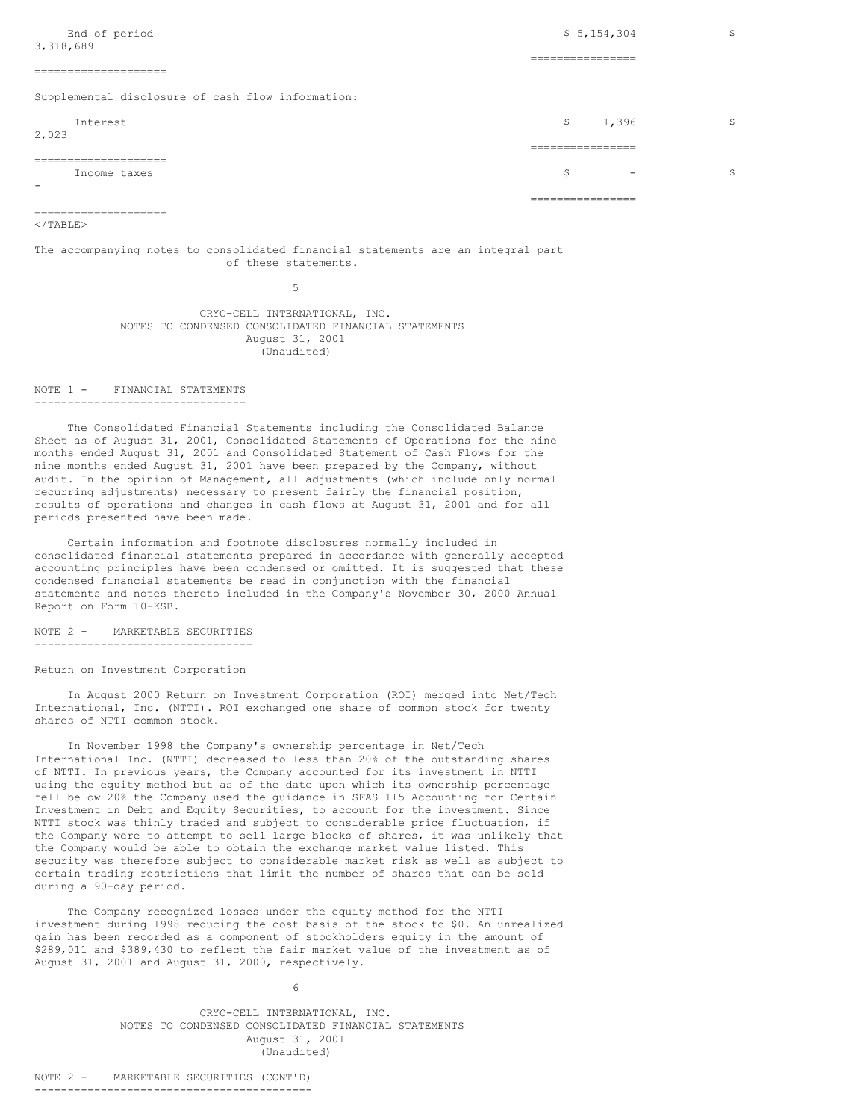|                                                   | ________________<br>________________ |    |
|---------------------------------------------------|--------------------------------------|----|
| Income taxes<br>$\sim$                            | \$<br>$\overline{\phantom{0}}$       | \$ |
| ====================                              | .                                    |    |
| <b>Tnterest</b><br>2,023                          | \$<br>1,396<br>________________      | \$ |
| Supplemental disclosure of cash flow information: |                                      |    |
| ----------------------                            | ________________                     |    |
| End of period<br>3,318,689                        | \$5,154,304<br>________________      | \$ |
|                                                   |                                      |    |

## $\langle$ /TABLE>

# The accompanying notes to consolidated financial statements are an integral part of these statements.

5

CRYO-CELL INTERNATIONAL, INC. NOTES TO CONDENSED CONSOLIDATED FINANCIAL STATEMENTS August 31, 2001 (Unaudited)

#### NOTE 1 - FINANCIAL STATEMENTS --------------------------------

====================

The Consolidated Financial Statements including the Consolidated Balance Sheet as of August 31, 2001, Consolidated Statements of Operations for the nine months ended August 31, 2001 and Consolidated Statement of Cash Flows for the nine months ended August 31, 2001 have been prepared by the Company, without audit. In the opinion of Management, all adjustments (which include only normal recurring adjustments) necessary to present fairly the financial position, results of operations and changes in cash flows at August 31, 2001 and for all periods presented have been made.

Certain information and footnote disclosures normally included in consolidated financial statements prepared in accordance with generally accepted accounting principles have been condensed or omitted. It is suggested that these condensed financial statements be read in conjunction with the financial statements and notes thereto included in the Company's November 30, 2000 Annual Report on Form 10-KSB.

NOTE 2 - MARKETABLE SECURITIES ---------------------------------

Return on Investment Corporation

In August 2000 Return on Investment Corporation (ROI) merged into Net/Tech International, Inc. (NTTI). ROI exchanged one share of common stock for twenty shares of NTTI common stock.

In November 1998 the Company's ownership percentage in Net/Tech International Inc. (NTTI) decreased to less than 20% of the outstanding shares of NTTI. In previous years, the Company accounted for its investment in NTTI using the equity method but as of the date upon which its ownership percentage fell below 20% the Company used the guidance in SFAS 115 Accounting for Certain Investment in Debt and Equity Securities, to account for the investment. Since NTTI stock was thinly traded and subject to considerable price fluctuation, if the Company were to attempt to sell large blocks of shares, it was unlikely that the Company would be able to obtain the exchange market value listed. This security was therefore subject to considerable market risk as well as subject to certain trading restrictions that limit the number of shares that can be sold during a 90-day period.

The Company recognized losses under the equity method for the NTTI investment during 1998 reducing the cost basis of the stock to \$0. An unrealized gain has been recorded as a component of stockholders equity in the amount of \$289,011 and \$389,430 to reflect the fair market value of the investment as of August 31, 2001 and August 31, 2000, respectively.

> CRYO-CELL INTERNATIONAL, INC. NOTES TO CONDENSED CONSOLIDATED FINANCIAL STATEMENTS August 31, 2001 (Unaudited)

6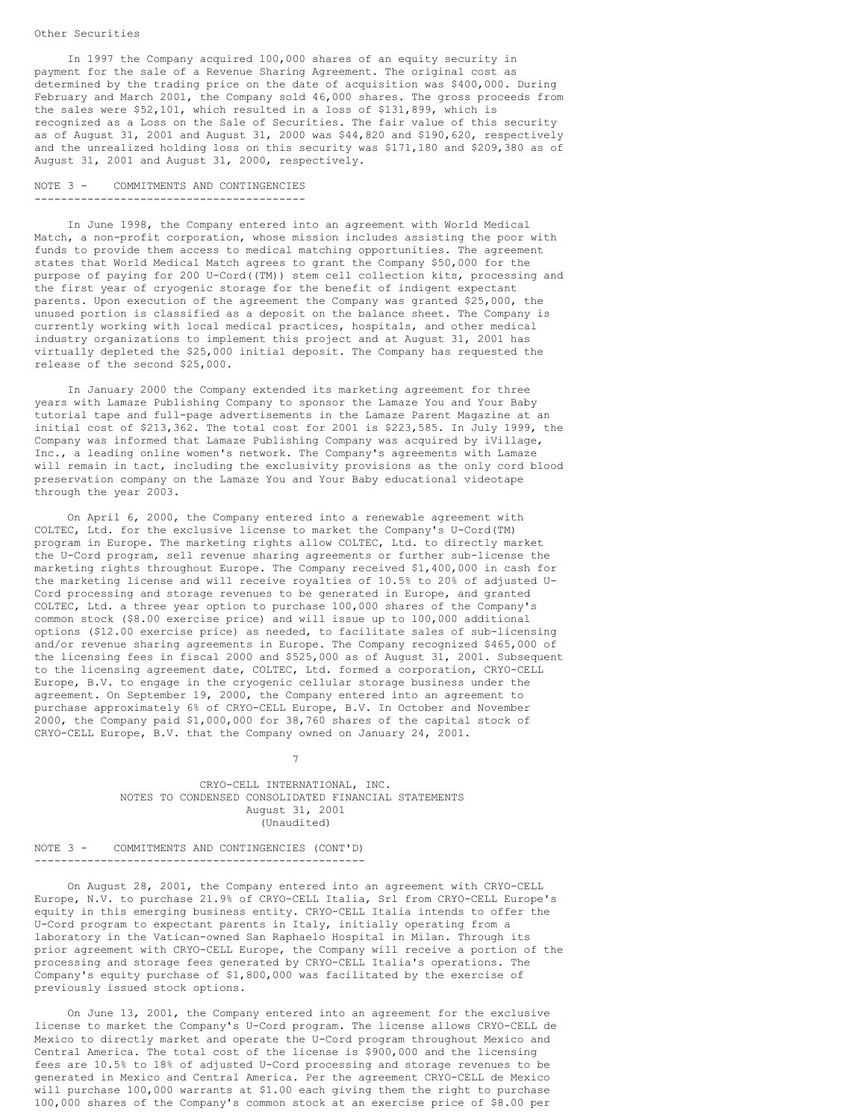In 1997 the Company acquired 100,000 shares of an equity security in payment for the sale of a Revenue Sharing Agreement. The original cost as determined by the trading price on the date of acquisition was \$400,000. During February and March 2001, the Company sold 46,000 shares. The gross proceeds from the sales were \$52,101, which resulted in a loss of \$131,899, which is recognized as a Loss on the Sale of Securities. The fair value of this security as of August 31, 2001 and August 31, 2000 was \$44,820 and \$190,620, respectively and the unrealized holding loss on this security was \$171,180 and \$209,380 as of August 31, 2001 and August 31, 2000, respectively.

NOTE 3 - COMMITMENTS AND CONTINGENCIES -----------------------------------------

In June 1998, the Company entered into an agreement with World Medical Match, a non-profit corporation, whose mission includes assisting the poor with funds to provide them access to medical matching opportunities. The agreement states that World Medical Match agrees to grant the Company \$50,000 for the purpose of paying for 200 U-Cord((TM)) stem cell collection kits, processing and the first year of cryogenic storage for the benefit of indigent expectant parents. Upon execution of the agreement the Company was granted \$25,000, the unused portion is classified as a deposit on the balance sheet. The Company is currently working with local medical practices, hospitals, and other medical industry organizations to implement this project and at August 31, 2001 has virtually depleted the \$25,000 initial deposit. The Company has requested the release of the second \$25,000.

In January 2000 the Company extended its marketing agreement for three years with Lamaze Publishing Company to sponsor the Lamaze You and Your Baby tutorial tape and full-page advertisements in the Lamaze Parent Magazine at an initial cost of \$213,362. The total cost for 2001 is \$223,585. In July 1999, the Company was informed that Lamaze Publishing Company was acquired by iVillage, Inc., a leading online women's network. The Company's agreements with Lamaze will remain in tact, including the exclusivity provisions as the only cord blood preservation company on the Lamaze You and Your Baby educational videotape through the year 2003.

On April 6, 2000, the Company entered into a renewable agreement with COLTEC, Ltd. for the exclusive license to market the Company's U-Cord(TM) program in Europe. The marketing rights allow COLTEC, Ltd. to directly market the U-Cord program, sell revenue sharing agreements or further sub-license the marketing rights throughout Europe. The Company received \$1,400,000 in cash for the marketing license and will receive royalties of 10.5% to 20% of adjusted U-Cord processing and storage revenues to be generated in Europe, and granted COLTEC, Ltd. a three year option to purchase 100,000 shares of the Company's common stock (\$8.00 exercise price) and will issue up to 100,000 additional options (\$12.00 exercise price) as needed, to facilitate sales of sub-licensing and/or revenue sharing agreements in Europe. The Company recognized \$465,000 of the licensing fees in fiscal 2000 and \$525,000 as of August 31, 2001. Subsequent to the licensing agreement date, COLTEC, Ltd. formed a corporation, CRYO-CELL Europe, B.V. to engage in the cryogenic cellular storage business under the agreement. On September 19, 2000, the Company entered into an agreement to purchase approximately 6% of CRYO-CELL Europe, B.V. In October and November 2000, the Company paid \$1,000,000 for 38,760 shares of the capital stock of CRYO-CELL Europe, B.V. that the Company owned on January 24, 2001.

> CRYO-CELL INTERNATIONAL, INC. NOTES TO CONDENSED CONSOLIDATED FINANCIAL STATEMENTS August 31, 2001 (Unaudited)

7

#### NOTE 3 - COMMITMENTS AND CONTINGENCIES (CONT'D) --------------------------------------------------

On August 28, 2001, the Company entered into an agreement with CRYO-CELL Europe, N.V. to purchase 21.9% of CRYO-CELL Italia, Srl from CRYO-CELL Europe's equity in this emerging business entity. CRYO-CELL Italia intends to offer the U-Cord program to expectant parents in Italy, initially operating from a laboratory in the Vatican-owned San Raphaelo Hospital in Milan. Through its prior agreement with CRYO-CELL Europe, the Company will receive a portion of the processing and storage fees generated by CRYO-CELL Italia's operations. The Company's equity purchase of \$1,800,000 was facilitated by the exercise of previously issued stock options.

On June 13, 2001, the Company entered into an agreement for the exclusive license to market the Company's U-Cord program. The license allows CRYO-CELL de Mexico to directly market and operate the U-Cord program throughout Mexico and Central America. The total cost of the license is \$900,000 and the licensing fees are 10.5% to 18% of adjusted U-Cord processing and storage revenues to be generated in Mexico and Central America. Per the agreement CRYO-CELL de Mexico will purchase 100,000 warrants at \$1.00 each giving them the right to purchase 100,000 shares of the Company's common stock at an exercise price of \$8.00 per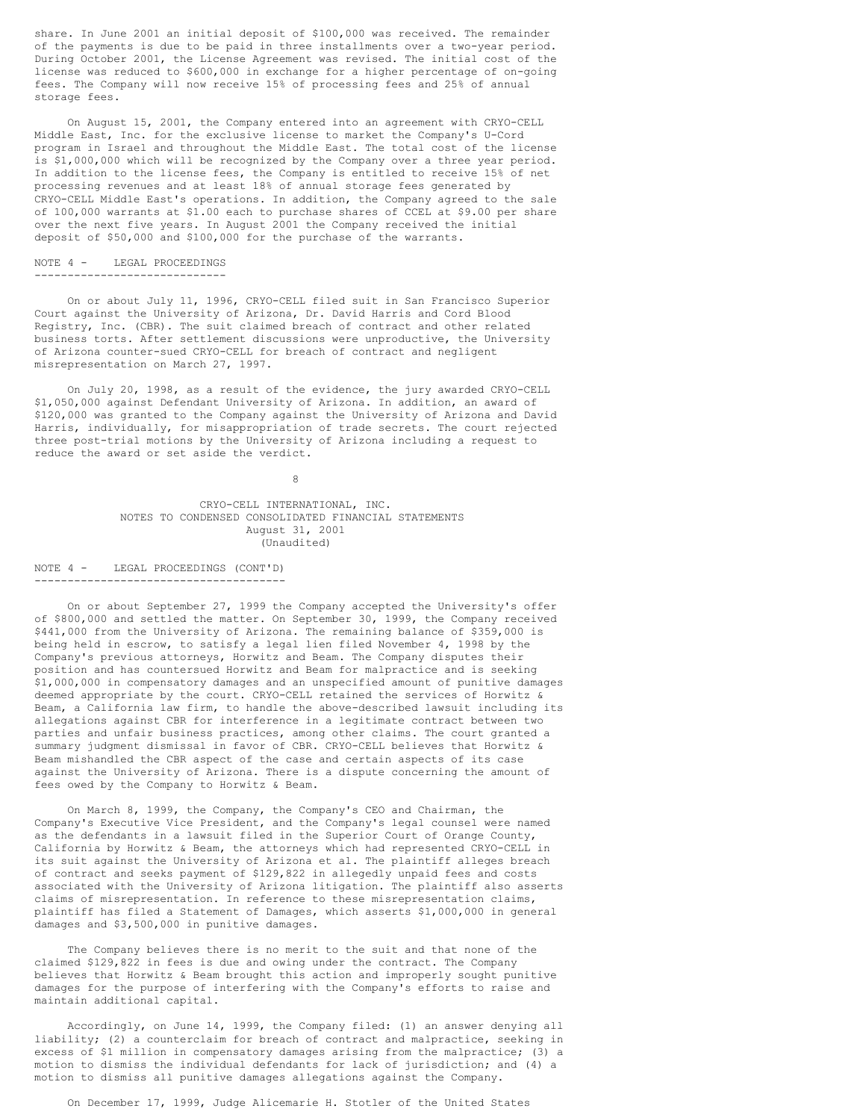share. In June 2001 an initial deposit of \$100,000 was received. The remainder of the payments is due to be paid in three installments over a two-year period. During October 2001, the License Agreement was revised. The initial cost of the license was reduced to \$600,000 in exchange for a higher percentage of on-going fees. The Company will now receive 15% of processing fees and 25% of annual storage fees.

On August 15, 2001, the Company entered into an agreement with CRYO-CELL Middle East, Inc. for the exclusive license to market the Company's U-Cord program in Israel and throughout the Middle East. The total cost of the license is \$1,000,000 which will be recognized by the Company over a three year period. In addition to the license fees, the Company is entitled to receive 15% of net processing revenues and at least 18% of annual storage fees generated by CRYO-CELL Middle East's operations. In addition, the Company agreed to the sale of 100,000 warrants at \$1.00 each to purchase shares of CCEL at \$9.00 per share over the next five years. In August 2001 the Company received the initial deposit of \$50,000 and \$100,000 for the purchase of the warrants.

### NOTE 4 - LEGAL PROCEEDINGS

-----------------------------

On or about July 11, 1996, CRYO-CELL filed suit in San Francisco Superior Court against the University of Arizona, Dr. David Harris and Cord Blood Registry, Inc. (CBR). The suit claimed breach of contract and other related business torts. After settlement discussions were unproductive, the University of Arizona counter-sued CRYO-CELL for breach of contract and negligent misrepresentation on March 27, 1997.

On July 20, 1998, as a result of the evidence, the jury awarded CRYO-CELL \$1,050,000 against Defendant University of Arizona. In addition, an award of \$120,000 was granted to the Company against the University of Arizona and David Harris, individually, for misappropriation of trade secrets. The court rejected three post-trial motions by the University of Arizona including a request to reduce the award or set aside the verdict.

8

CRYO-CELL INTERNATIONAL, INC. NOTES TO CONDENSED CONSOLIDATED FINANCIAL STATEMENTS August 31, 2001 (Unaudited)

### NOTE 4 - LEGAL PROCEEDINGS (CONT'D) --------------------------------------

On or about September 27, 1999 the Company accepted the University's offer of \$800,000 and settled the matter. On September 30, 1999, the Company received \$441,000 from the University of Arizona. The remaining balance of \$359,000 is being held in escrow, to satisfy a legal lien filed November 4, 1998 by the Company's previous attorneys, Horwitz and Beam. The Company disputes their position and has countersued Horwitz and Beam for malpractice and is seeking \$1,000,000 in compensatory damages and an unspecified amount of punitive damages deemed appropriate by the court. CRYO-CELL retained the services of Horwitz & Beam, a California law firm, to handle the above-described lawsuit including its allegations against CBR for interference in a legitimate contract between two parties and unfair business practices, among other claims. The court granted a summary judgment dismissal in favor of CBR. CRYO-CELL believes that Horwitz & Beam mishandled the CBR aspect of the case and certain aspects of its case against the University of Arizona. There is a dispute concerning the amount of fees owed by the Company to Horwitz & Beam.

On March 8, 1999, the Company, the Company's CEO and Chairman, the Company's Executive Vice President, and the Company's legal counsel were named as the defendants in a lawsuit filed in the Superior Court of Orange County, California by Horwitz & Beam, the attorneys which had represented CRYO-CELL in its suit against the University of Arizona et al. The plaintiff alleges breach of contract and seeks payment of \$129,822 in allegedly unpaid fees and costs associated with the University of Arizona litigation. The plaintiff also asserts claims of misrepresentation. In reference to these misrepresentation claims, plaintiff has filed a Statement of Damages, which asserts \$1,000,000 in general damages and \$3,500,000 in punitive damages.

The Company believes there is no merit to the suit and that none of the claimed \$129,822 in fees is due and owing under the contract. The Company believes that Horwitz & Beam brought this action and improperly sought punitive damages for the purpose of interfering with the Company's efforts to raise and maintain additional capital.

Accordingly, on June 14, 1999, the Company filed: (1) an answer denying all liability; (2) a counterclaim for breach of contract and malpractice, seeking in excess of \$1 million in compensatory damages arising from the malpractice; (3) a motion to dismiss the individual defendants for lack of jurisdiction; and (4) a motion to dismiss all punitive damages allegations against the Company.

On December 17, 1999, Judge Alicemarie H. Stotler of the United States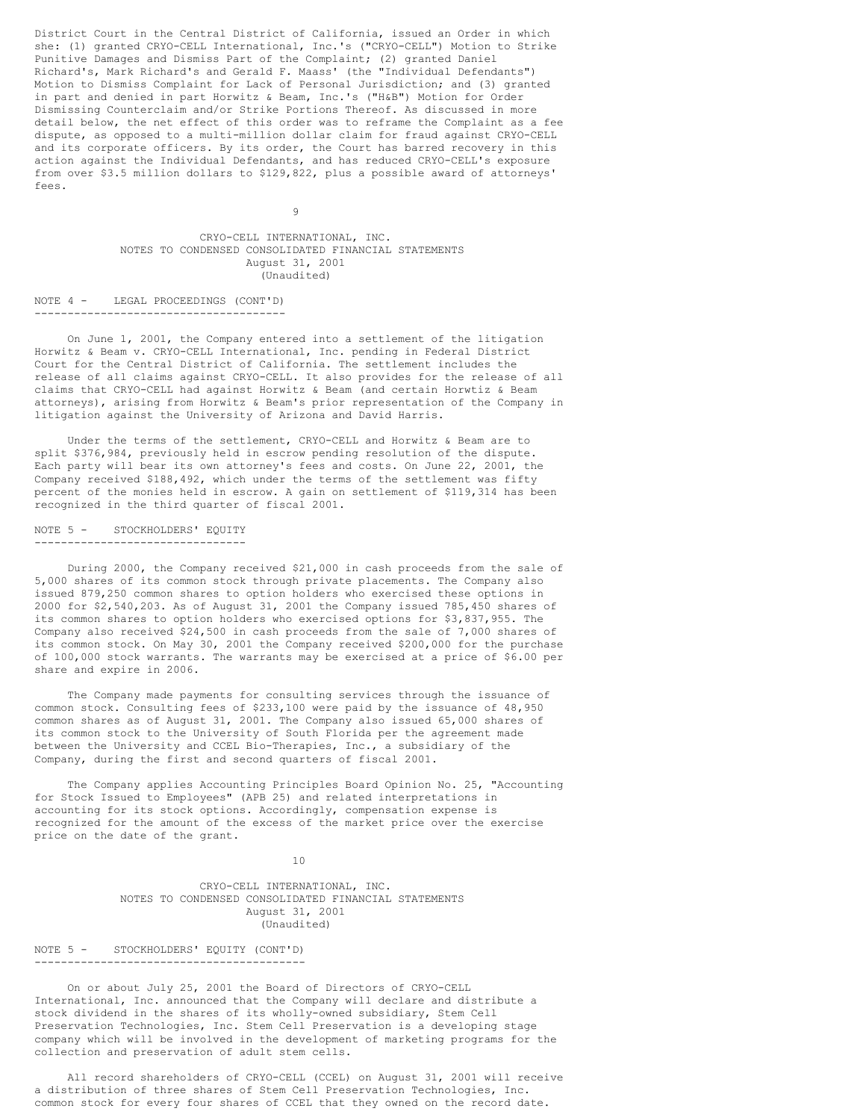District Court in the Central District of California, issued an Order in which she: (1) granted CRYO-CELL International, Inc.'s ("CRYO-CELL") Motion to Strike Punitive Damages and Dismiss Part of the Complaint; (2) granted Daniel Richard's, Mark Richard's and Gerald F. Maass' (the "Individual Defendants") Motion to Dismiss Complaint for Lack of Personal Jurisdiction; and (3) granted in part and denied in part Horwitz & Beam, Inc.'s ("H&B") Motion for Order Dismissing Counterclaim and/or Strike Portions Thereof. As discussed in more detail below, the net effect of this order was to reframe the Complaint as a fee dispute, as opposed to a multi-million dollar claim for fraud against CRYO-CELL and its corporate officers. By its order, the Court has barred recovery in this action against the Individual Defendants, and has reduced CRYO-CELL's exposure from over \$3.5 million dollars to \$129,822, plus a possible award of attorneys' fees.

9

CRYO-CELL INTERNATIONAL, INC. NOTES TO CONDENSED CONSOLIDATED FINANCIAL STATEMENTS August 31, 2001 (Unaudited)

NOTE 4 - LEGAL PROCEEDINGS (CONT'D) --------------------------------------

On June 1, 2001, the Company entered into a settlement of the litigation Horwitz & Beam v. CRYO-CELL International, Inc. pending in Federal District Court for the Central District of California. The settlement includes the release of all claims against CRYO-CELL. It also provides for the release of all claims that CRYO-CELL had against Horwitz & Beam (and certain Horwtiz & Beam attorneys), arising from Horwitz & Beam's prior representation of the Company in litigation against the University of Arizona and David Harris.

Under the terms of the settlement, CRYO-CELL and Horwitz & Beam are to split \$376,984, previously held in escrow pending resolution of the dispute. Each party will bear its own attorney's fees and costs. On June 22, 2001, the Company received \$188,492, which under the terms of the settlement was fifty percent of the monies held in escrow. A gain on settlement of \$119,314 has been recognized in the third quarter of fiscal 2001.

NOTE 5 - STOCKHOLDERS' EQUITY --------------------------------

During 2000, the Company received \$21,000 in cash proceeds from the sale of 5,000 shares of its common stock through private placements. The Company also issued 879,250 common shares to option holders who exercised these options in 2000 for \$2,540,203. As of August 31, 2001 the Company issued 785,450 shares of its common shares to option holders who exercised options for \$3,837,955. The Company also received \$24,500 in cash proceeds from the sale of 7,000 shares of its common stock. On May 30, 2001 the Company received \$200,000 for the purchase of 100,000 stock warrants. The warrants may be exercised at a price of \$6.00 per share and expire in 2006.

The Company made payments for consulting services through the issuance of common stock. Consulting fees of \$233,100 were paid by the issuance of 48,950 common shares as of August 31, 2001. The Company also issued 65,000 shares of its common stock to the University of South Florida per the agreement made between the University and CCEL Bio-Therapies, Inc., a subsidiary of the Company, during the first and second quarters of fiscal 2001.

The Company applies Accounting Principles Board Opinion No. 25, "Accounting for Stock Issued to Employees" (APB 25) and related interpretations in accounting for its stock options. Accordingly, compensation expense is recognized for the amount of the excess of the market price over the exercise price on the date of the grant.

10

CRYO-CELL INTERNATIONAL, INC. NOTES TO CONDENSED CONSOLIDATED FINANCIAL STATEMENTS August 31, 2001 (Unaudited)

NOTE 5 - STOCKHOLDERS' EQUITY (CONT'D) -----------------------------------------

On or about July 25, 2001 the Board of Directors of CRYO-CELL International, Inc. announced that the Company will declare and distribute a stock dividend in the shares of its wholly-owned subsidiary, Stem Cell Preservation Technologies, Inc. Stem Cell Preservation is a developing stage company which will be involved in the development of marketing programs for the collection and preservation of adult stem cells.

All record shareholders of CRYO-CELL (CCEL) on August 31, 2001 will receive a distribution of three shares of Stem Cell Preservation Technologies, Inc. common stock for every four shares of CCEL that they owned on the record date.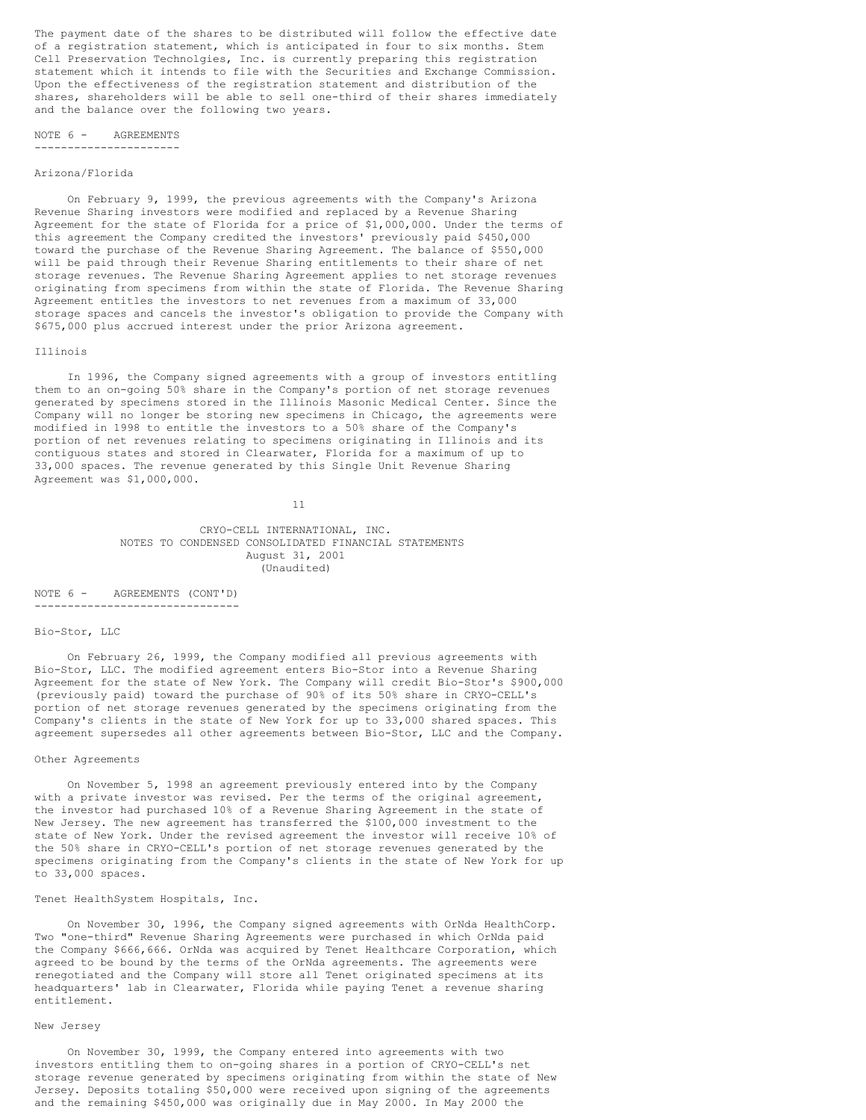The payment date of the shares to be distributed will follow the effective date of a registration statement, which is anticipated in four to six months. Stem Cell Preservation Technolgies, Inc. is currently preparing this registration statement which it intends to file with the Securities and Exchange Commission. Upon the effectiveness of the registration statement and distribution of the shares, shareholders will be able to sell one-third of their shares immediately and the balance over the following two years.

#### NOTE 6 - AGREEMENTS ----------------------

### Arizona/Florida

On February 9, 1999, the previous agreements with the Company's Arizona Revenue Sharing investors were modified and replaced by a Revenue Sharing Agreement for the state of Florida for a price of \$1,000,000. Under the terms of this agreement the Company credited the investors' previously paid \$450,000 toward the purchase of the Revenue Sharing Agreement. The balance of \$550,000 will be paid through their Revenue Sharing entitlements to their share of net storage revenues. The Revenue Sharing Agreement applies to net storage revenues originating from specimens from within the state of Florida. The Revenue Sharing Agreement entitles the investors to net revenues from a maximum of 33,000 storage spaces and cancels the investor's obligation to provide the Company with \$675,000 plus accrued interest under the prior Arizona agreement.

#### Illinois

In 1996, the Company signed agreements with a group of investors entitling them to an on-going 50% share in the Company's portion of net storage revenues generated by specimens stored in the Illinois Masonic Medical Center. Since the Company will no longer be storing new specimens in Chicago, the agreements were modified in 1998 to entitle the investors to a 50% share of the Company's portion of net revenues relating to specimens originating in Illinois and its contiguous states and stored in Clearwater, Florida for a maximum of up to 33,000 spaces. The revenue generated by this Single Unit Revenue Sharing Agreement was \$1,000,000.

11

CRYO-CELL INTERNATIONAL, INC. NOTES TO CONDENSED CONSOLIDATED FINANCIAL STATEMENTS August 31, 2001 (Unaudited)

NOTE 6 - AGREEMENTS (CONT'D) -------------------------------

# Bio-Stor, LLC

On February 26, 1999, the Company modified all previous agreements with Bio-Stor, LLC. The modified agreement enters Bio-Stor into a Revenue Sharing Agreement for the state of New York. The Company will credit Bio-Stor's \$900,000 (previously paid) toward the purchase of 90% of its 50% share in CRYO-CELL's portion of net storage revenues generated by the specimens originating from the Company's clients in the state of New York for up to 33,000 shared spaces. This agreement supersedes all other agreements between Bio-Stor, LLC and the Company.

### Other Agreements

On November 5, 1998 an agreement previously entered into by the Company with a private investor was revised. Per the terms of the original agreement, the investor had purchased 10% of a Revenue Sharing Agreement in the state of New Jersey. The new agreement has transferred the \$100,000 investment to the state of New York. Under the revised agreement the investor will receive 10% of the 50% share in CRYO-CELL's portion of net storage revenues generated by the specimens originating from the Company's clients in the state of New York for up to 33,000 spaces.

### Tenet HealthSystem Hospitals, Inc.

On November 30, 1996, the Company signed agreements with OrNda HealthCorp. Two "one-third" Revenue Sharing Agreements were purchased in which OrNda paid the Company \$666,666. OrNda was acquired by Tenet Healthcare Corporation, which agreed to be bound by the terms of the OrNda agreements. The agreements were renegotiated and the Company will store all Tenet originated specimens at its headquarters' lab in Clearwater, Florida while paying Tenet a revenue sharing entitlement.

# New Jersey

On November 30, 1999, the Company entered into agreements with two investors entitling them to on-going shares in a portion of CRYO-CELL's net storage revenue generated by specimens originating from within the state of New Jersey. Deposits totaling \$50,000 were received upon signing of the agreements and the remaining \$450,000 was originally due in May 2000. In May 2000 the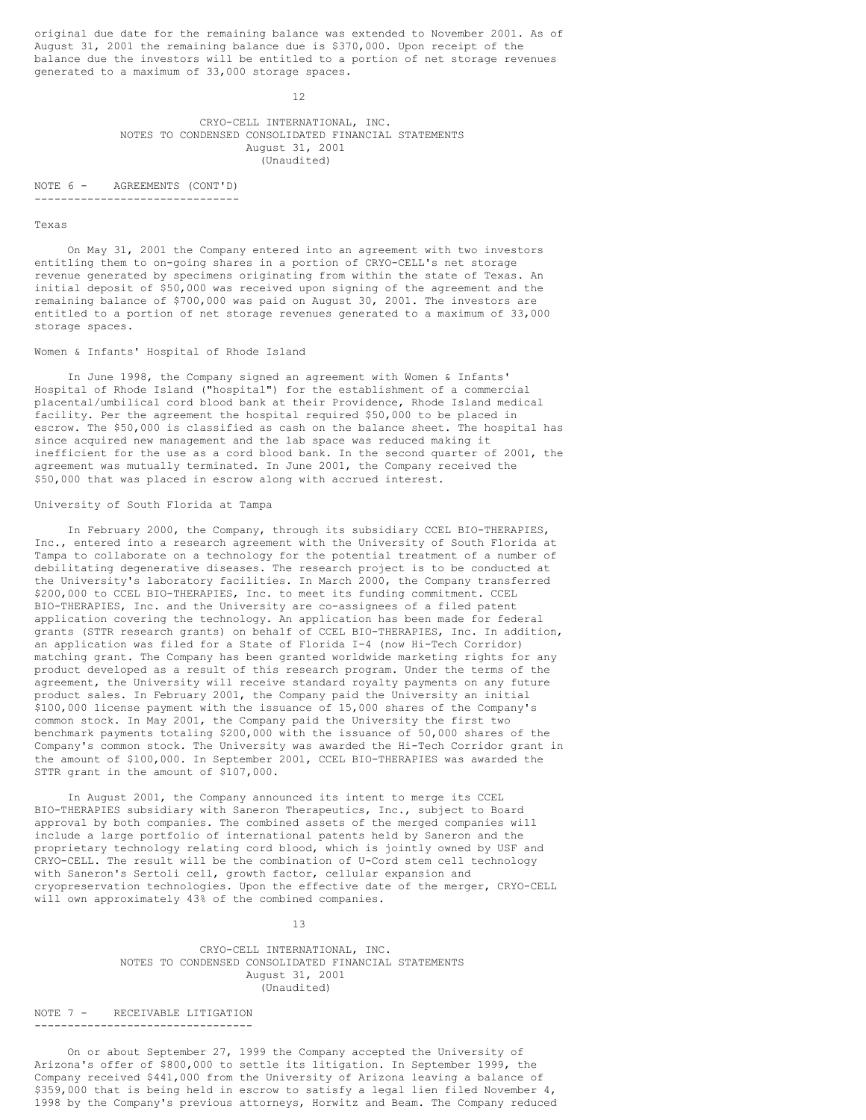original due date for the remaining balance was extended to November 2001. As of August 31, 2001 the remaining balance due is \$370,000. Upon receipt of the balance due the investors will be entitled to a portion of net storage revenues generated to a maximum of 33,000 storage spaces.

12

# CRYO-CELL INTERNATIONAL, INC. NOTES TO CONDENSED CONSOLIDATED FINANCIAL STATEMENTS August 31, 2001 (Unaudited)

NOTE 6 - AGREEMENTS (CONT'D) -------------------------------

#### Texas

On May 31, 2001 the Company entered into an agreement with two investors entitling them to on-going shares in a portion of CRYO-CELL's net storage revenue generated by specimens originating from within the state of Texas. An initial deposit of \$50,000 was received upon signing of the agreement and the remaining balance of \$700,000 was paid on August 30, 2001. The investors are entitled to a portion of net storage revenues generated to a maximum of 33,000 storage spaces.

# Women & Infants' Hospital of Rhode Island

In June 1998, the Company signed an agreement with Women & Infants' Hospital of Rhode Island ("hospital") for the establishment of a commercial placental/umbilical cord blood bank at their Providence, Rhode Island medical facility. Per the agreement the hospital required \$50,000 to be placed in escrow. The \$50,000 is classified as cash on the balance sheet. The hospital has since acquired new management and the lab space was reduced making it inefficient for the use as a cord blood bank. In the second quarter of 2001, the agreement was mutually terminated. In June 2001, the Company received the \$50,000 that was placed in escrow along with accrued interest.

# University of South Florida at Tampa

In February 2000, the Company, through its subsidiary CCEL BIO-THERAPIES, Inc., entered into a research agreement with the University of South Florida at Tampa to collaborate on a technology for the potential treatment of a number of debilitating degenerative diseases. The research project is to be conducted at the University's laboratory facilities. In March 2000, the Company transferred \$200,000 to CCEL BIO-THERAPIES, Inc. to meet its funding commitment. CCEL BIO-THERAPIES, Inc. and the University are co-assignees of a filed patent application covering the technology. An application has been made for federal grants (STTR research grants) on behalf of CCEL BIO-THERAPIES, Inc. In addition, an application was filed for a State of Florida I-4 (now Hi-Tech Corridor) matching grant. The Company has been granted worldwide marketing rights for any product developed as a result of this research program. Under the terms of the agreement, the University will receive standard royalty payments on any future product sales. In February 2001, the Company paid the University an initial \$100,000 license payment with the issuance of 15,000 shares of the Company's common stock. In May 2001, the Company paid the University the first two benchmark payments totaling \$200,000 with the issuance of 50,000 shares of the Company's common stock. The University was awarded the Hi-Tech Corridor grant in the amount of \$100,000. In September 2001, CCEL BIO-THERAPIES was awarded the STTR grant in the amount of \$107,000.

In August 2001, the Company announced its intent to merge its CCEL BIO-THERAPIES subsidiary with Saneron Therapeutics, Inc., subject to Board approval by both companies. The combined assets of the merged companies will include a large portfolio of international patents held by Saneron and the proprietary technology relating cord blood, which is jointly owned by USF and CRYO-CELL. The result will be the combination of U-Cord stem cell technology with Saneron's Sertoli cell, growth factor, cellular expansion and cryopreservation technologies. Upon the effective date of the merger, CRYO-CELL will own approximately 43% of the combined companies.

13

# CRYO-CELL INTERNATIONAL, INC. NOTES TO CONDENSED CONSOLIDATED FINANCIAL STATEMENTS August 31, 2001 (Unaudited)

NOTE 7 - RECEIVABLE LITIGATION ---------------------------------

On or about September 27, 1999 the Company accepted the University of Arizona's offer of \$800,000 to settle its litigation. In September 1999, the Company received \$441,000 from the University of Arizona leaving a balance of \$359,000 that is being held in escrow to satisfy a legal lien filed November 4, 1998 by the Company's previous attorneys, Horwitz and Beam. The Company reduced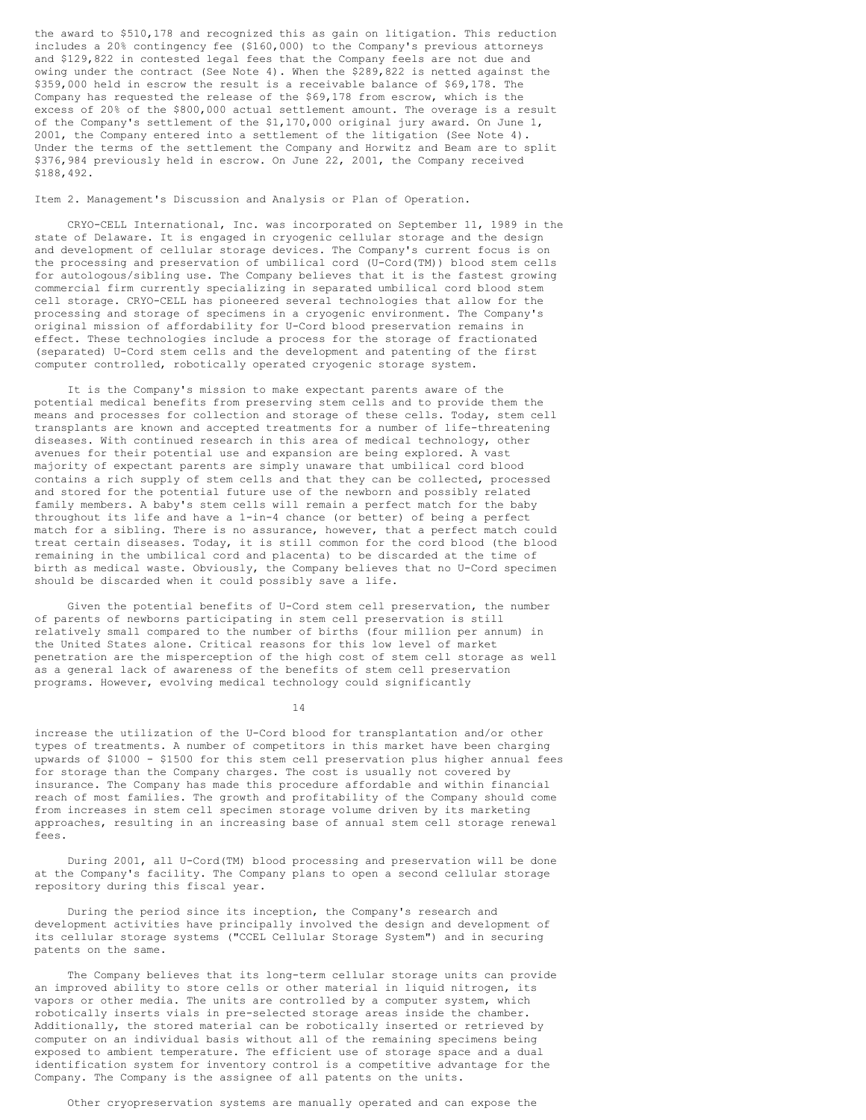the award to \$510,178 and recognized this as gain on litigation. This reduction includes a 20% contingency fee (\$160,000) to the Company's previous attorneys and \$129,822 in contested legal fees that the Company feels are not due and owing under the contract (See Note 4). When the \$289,822 is netted against the \$359,000 held in escrow the result is a receivable balance of \$69,178. The Company has requested the release of the \$69,178 from escrow, which is the excess of 20% of the \$800,000 actual settlement amount. The overage is a result of the Company's settlement of the \$1,170,000 original jury award. On June 1, 2001, the Company entered into a settlement of the litigation (See Note 4). Under the terms of the settlement the Company and Horwitz and Beam are to split \$376,984 previously held in escrow. On June 22, 2001, the Company received \$188,492.

Item 2. Management's Discussion and Analysis or Plan of Operation.

CRYO-CELL International, Inc. was incorporated on September 11, 1989 in the state of Delaware. It is engaged in cryogenic cellular storage and the design and development of cellular storage devices. The Company's current focus is on the processing and preservation of umbilical cord (U-Cord(TM)) blood stem cells for autologous/sibling use. The Company believes that it is the fastest growing commercial firm currently specializing in separated umbilical cord blood stem cell storage. CRYO-CELL has pioneered several technologies that allow for the processing and storage of specimens in a cryogenic environment. The Company's original mission of affordability for U-Cord blood preservation remains in effect. These technologies include a process for the storage of fractionated (separated) U-Cord stem cells and the development and patenting of the first computer controlled, robotically operated cryogenic storage system.

It is the Company's mission to make expectant parents aware of the potential medical benefits from preserving stem cells and to provide them the means and processes for collection and storage of these cells. Today, stem cell transplants are known and accepted treatments for a number of life-threatening diseases. With continued research in this area of medical technology, other avenues for their potential use and expansion are being explored. A vast majority of expectant parents are simply unaware that umbilical cord blood contains a rich supply of stem cells and that they can be collected, processed and stored for the potential future use of the newborn and possibly related family members. A baby's stem cells will remain a perfect match for the baby throughout its life and have a 1-in-4 chance (or better) of being a perfect match for a sibling. There is no assurance, however, that a perfect match could treat certain diseases. Today, it is still common for the cord blood (the blood remaining in the umbilical cord and placenta) to be discarded at the time of birth as medical waste. Obviously, the Company believes that no U-Cord specimen should be discarded when it could possibly save a life.

Given the potential benefits of U-Cord stem cell preservation, the number of parents of newborns participating in stem cell preservation is still relatively small compared to the number of births (four million per annum) in the United States alone. Critical reasons for this low level of market penetration are the misperception of the high cost of stem cell storage as well as a general lack of awareness of the benefits of stem cell preservation programs. However, evolving medical technology could significantly

14

increase the utilization of the U-Cord blood for transplantation and/or other types of treatments. A number of competitors in this market have been charging upwards of \$1000 - \$1500 for this stem cell preservation plus higher annual fees for storage than the Company charges. The cost is usually not covered by insurance. The Company has made this procedure affordable and within financial reach of most families. The growth and profitability of the Company should come from increases in stem cell specimen storage volume driven by its marketing approaches, resulting in an increasing base of annual stem cell storage renewal fees.

During 2001, all U-Cord(TM) blood processing and preservation will be done at the Company's facility. The Company plans to open a second cellular storage repository during this fiscal year.

During the period since its inception, the Company's research and development activities have principally involved the design and development of its cellular storage systems ("CCEL Cellular Storage System") and in securing patents on the same.

The Company believes that its long-term cellular storage units can provide an improved ability to store cells or other material in liquid nitrogen, its vapors or other media. The units are controlled by a computer system, which robotically inserts vials in pre-selected storage areas inside the chamber. Additionally, the stored material can be robotically inserted or retrieved by computer on an individual basis without all of the remaining specimens being exposed to ambient temperature. The efficient use of storage space and a dual identification system for inventory control is a competitive advantage for the Company. The Company is the assignee of all patents on the units.

Other cryopreservation systems are manually operated and can expose the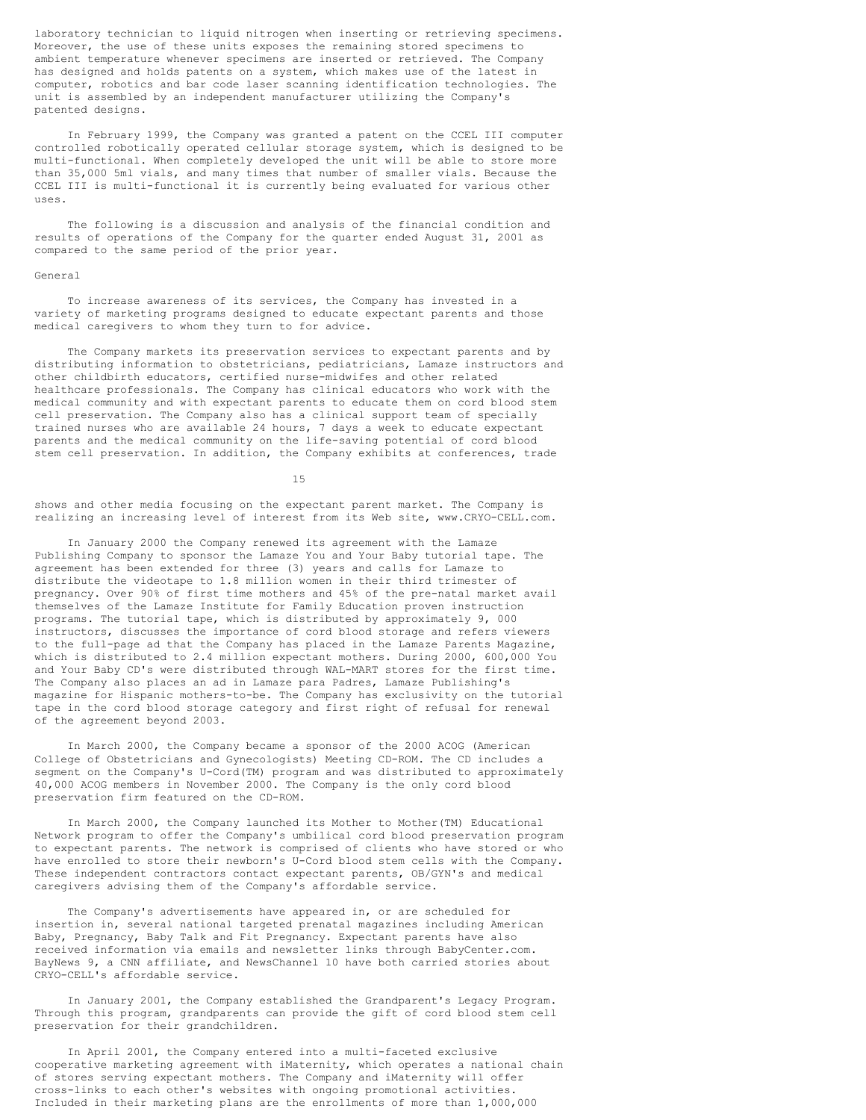laboratory technician to liquid nitrogen when inserting or retrieving specimens. Moreover, the use of these units exposes the remaining stored specimens to ambient temperature whenever specimens are inserted or retrieved. The Company has designed and holds patents on a system, which makes use of the latest in computer, robotics and bar code laser scanning identification technologies. The unit is assembled by an independent manufacturer utilizing the Company's patented designs.

In February 1999, the Company was granted a patent on the CCEL III computer controlled robotically operated cellular storage system, which is designed to be multi-functional. When completely developed the unit will be able to store more than 35,000 5ml vials, and many times that number of smaller vials. Because the CCEL III is multi-functional it is currently being evaluated for various other uses.

The following is a discussion and analysis of the financial condition and results of operations of the Company for the quarter ended August 31, 2001 as compared to the same period of the prior year.

### General

To increase awareness of its services, the Company has invested in a variety of marketing programs designed to educate expectant parents and those medical caregivers to whom they turn to for advice.

The Company markets its preservation services to expectant parents and by distributing information to obstetricians, pediatricians, Lamaze instructors and other childbirth educators, certified nurse-midwifes and other related healthcare professionals. The Company has clinical educators who work with the medical community and with expectant parents to educate them on cord blood stem cell preservation. The Company also has a clinical support team of specially trained nurses who are available 24 hours, 7 days a week to educate expectant parents and the medical community on the life-saving potential of cord blood stem cell preservation. In addition, the Company exhibits at conferences, trade

15

shows and other media focusing on the expectant parent market. The Company is realizing an increasing level of interest from its Web site, www.CRYO-CELL.com.

In January 2000 the Company renewed its agreement with the Lamaze Publishing Company to sponsor the Lamaze You and Your Baby tutorial tape. The agreement has been extended for three (3) years and calls for Lamaze to distribute the videotape to 1.8 million women in their third trimester of pregnancy. Over 90% of first time mothers and 45% of the pre-natal market avail themselves of the Lamaze Institute for Family Education proven instruction programs. The tutorial tape, which is distributed by approximately 9, 000 instructors, discusses the importance of cord blood storage and refers viewers to the full-page ad that the Company has placed in the Lamaze Parents Magazine, which is distributed to 2.4 million expectant mothers. During 2000, 600,000 You and Your Baby CD's were distributed through WAL-MART stores for the first time. The Company also places an ad in Lamaze para Padres, Lamaze Publishing's magazine for Hispanic mothers-to-be. The Company has exclusivity on the tutorial tape in the cord blood storage category and first right of refusal for renewal of the agreement beyond 2003.

In March 2000, the Company became a sponsor of the 2000 ACOG (American College of Obstetricians and Gynecologists) Meeting CD-ROM. The CD includes a segment on the Company's U-Cord(TM) program and was distributed to approximately 40,000 ACOG members in November 2000. The Company is the only cord blood preservation firm featured on the CD-ROM.

In March 2000, the Company launched its Mother to Mother(TM) Educational Network program to offer the Company's umbilical cord blood preservation program to expectant parents. The network is comprised of clients who have stored or who have enrolled to store their newborn's U-Cord blood stem cells with the Company. These independent contractors contact expectant parents, OB/GYN's and medical caregivers advising them of the Company's affordable service.

The Company's advertisements have appeared in, or are scheduled for insertion in, several national targeted prenatal magazines including American Baby, Pregnancy, Baby Talk and Fit Pregnancy. Expectant parents have also received information via emails and newsletter links through BabyCenter.com. BayNews 9, a CNN affiliate, and NewsChannel 10 have both carried stories about CRYO-CELL's affordable service.

In January 2001, the Company established the Grandparent's Legacy Program. Through this program, grandparents can provide the gift of cord blood stem cell preservation for their grandchildren.

In April 2001, the Company entered into a multi-faceted exclusive cooperative marketing agreement with iMaternity, which operates a national chain of stores serving expectant mothers. The Company and iMaternity will offer cross-links to each other's websites with ongoing promotional activities. Included in their marketing plans are the enrollments of more than 1,000,000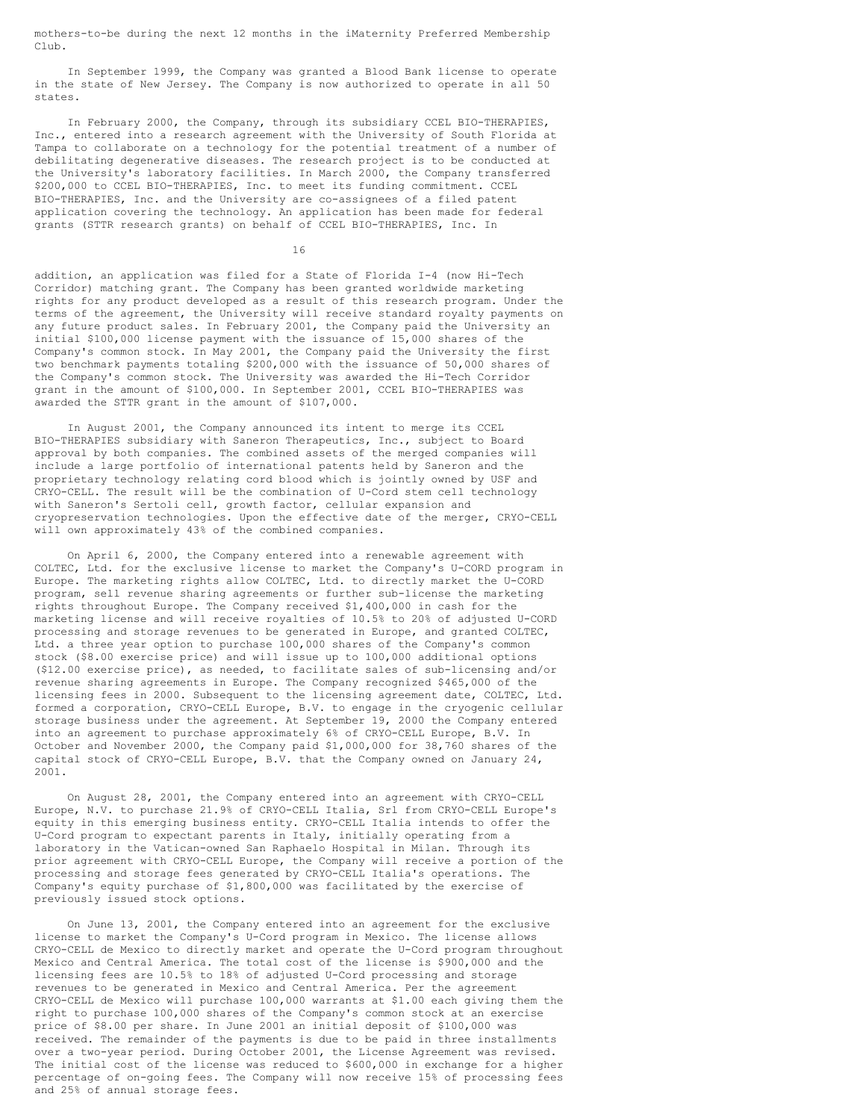mothers-to-be during the next 12 months in the iMaternity Preferred Membership Club.

In September 1999, the Company was granted a Blood Bank license to operate in the state of New Jersey. The Company is now authorized to operate in all 50 states.

In February 2000, the Company, through its subsidiary CCEL BIO-THERAPIES, Inc., entered into a research agreement with the University of South Florida at Tampa to collaborate on a technology for the potential treatment of a number of debilitating degenerative diseases. The research project is to be conducted at the University's laboratory facilities. In March 2000, the Company transferred \$200,000 to CCEL BIO-THERAPIES, Inc. to meet its funding commitment. CCEL BIO-THERAPIES, Inc. and the University are co-assignees of a filed patent application covering the technology. An application has been made for federal grants (STTR research grants) on behalf of CCEL BIO-THERAPIES, Inc. In

16

addition, an application was filed for a State of Florida I-4 (now Hi-Tech Corridor) matching grant. The Company has been granted worldwide marketing rights for any product developed as a result of this research program. Under the terms of the agreement, the University will receive standard royalty payments on any future product sales. In February 2001, the Company paid the University an initial \$100,000 license payment with the issuance of 15,000 shares of the Company's common stock. In May 2001, the Company paid the University the first two benchmark payments totaling \$200,000 with the issuance of 50,000 shares of the Company's common stock. The University was awarded the Hi-Tech Corridor grant in the amount of \$100,000. In September 2001, CCEL BIO-THERAPIES was awarded the STTR grant in the amount of \$107,000.

In August 2001, the Company announced its intent to merge its CCEL BIO-THERAPIES subsidiary with Saneron Therapeutics, Inc., subject to Board approval by both companies. The combined assets of the merged companies will include a large portfolio of international patents held by Saneron and the proprietary technology relating cord blood which is jointly owned by USF and CRYO-CELL. The result will be the combination of U-Cord stem cell technology with Saneron's Sertoli cell, growth factor, cellular expansion and cryopreservation technologies. Upon the effective date of the merger, CRYO-CELL will own approximately 43% of the combined companies.

On April 6, 2000, the Company entered into a renewable agreement with COLTEC, Ltd. for the exclusive license to market the Company's U-CORD program in Europe. The marketing rights allow COLTEC, Ltd. to directly market the U-CORD program, sell revenue sharing agreements or further sub-license the marketing rights throughout Europe. The Company received \$1,400,000 in cash for the marketing license and will receive royalties of 10.5% to 20% of adjusted U-CORD processing and storage revenues to be generated in Europe, and granted COLTEC, Ltd. a three year option to purchase 100,000 shares of the Company's common stock (\$8.00 exercise price) and will issue up to 100,000 additional options (\$12.00 exercise price), as needed, to facilitate sales of sub-licensing and/or revenue sharing agreements in Europe. The Company recognized \$465,000 of the licensing fees in 2000. Subsequent to the licensing agreement date, COLTEC, Ltd. formed a corporation, CRYO-CELL Europe, B.V. to engage in the cryogenic cellular storage business under the agreement. At September 19, 2000 the Company entered into an agreement to purchase approximately 6% of CRYO-CELL Europe, B.V. In October and November 2000, the Company paid \$1,000,000 for 38,760 shares of the capital stock of CRYO-CELL Europe, B.V. that the Company owned on January 24, 2001.

On August 28, 2001, the Company entered into an agreement with CRYO-CELL Europe, N.V. to purchase 21.9% of CRYO-CELL Italia, Srl from CRYO-CELL Europe's equity in this emerging business entity. CRYO-CELL Italia intends to offer the U-Cord program to expectant parents in Italy, initially operating from a laboratory in the Vatican-owned San Raphaelo Hospital in Milan. Through its prior agreement with CRYO-CELL Europe, the Company will receive a portion of the processing and storage fees generated by CRYO-CELL Italia's operations. The Company's equity purchase of \$1,800,000 was facilitated by the exercise of previously issued stock options.

On June 13, 2001, the Company entered into an agreement for the exclusive license to market the Company's U-Cord program in Mexico. The license allows CRYO-CELL de Mexico to directly market and operate the U-Cord program throughout Mexico and Central America. The total cost of the license is \$900,000 and the licensing fees are 10.5% to 18% of adjusted U-Cord processing and storage revenues to be generated in Mexico and Central America. Per the agreement CRYO-CELL de Mexico will purchase 100,000 warrants at \$1.00 each giving them the right to purchase 100,000 shares of the Company's common stock at an exercise price of \$8.00 per share. In June 2001 an initial deposit of \$100,000 was received. The remainder of the payments is due to be paid in three installments over a two-year period. During October 2001, the License Agreement was revised. The initial cost of the license was reduced to \$600,000 in exchange for a higher percentage of on-going fees. The Company will now receive 15% of processing fees and 25% of annual storage fees.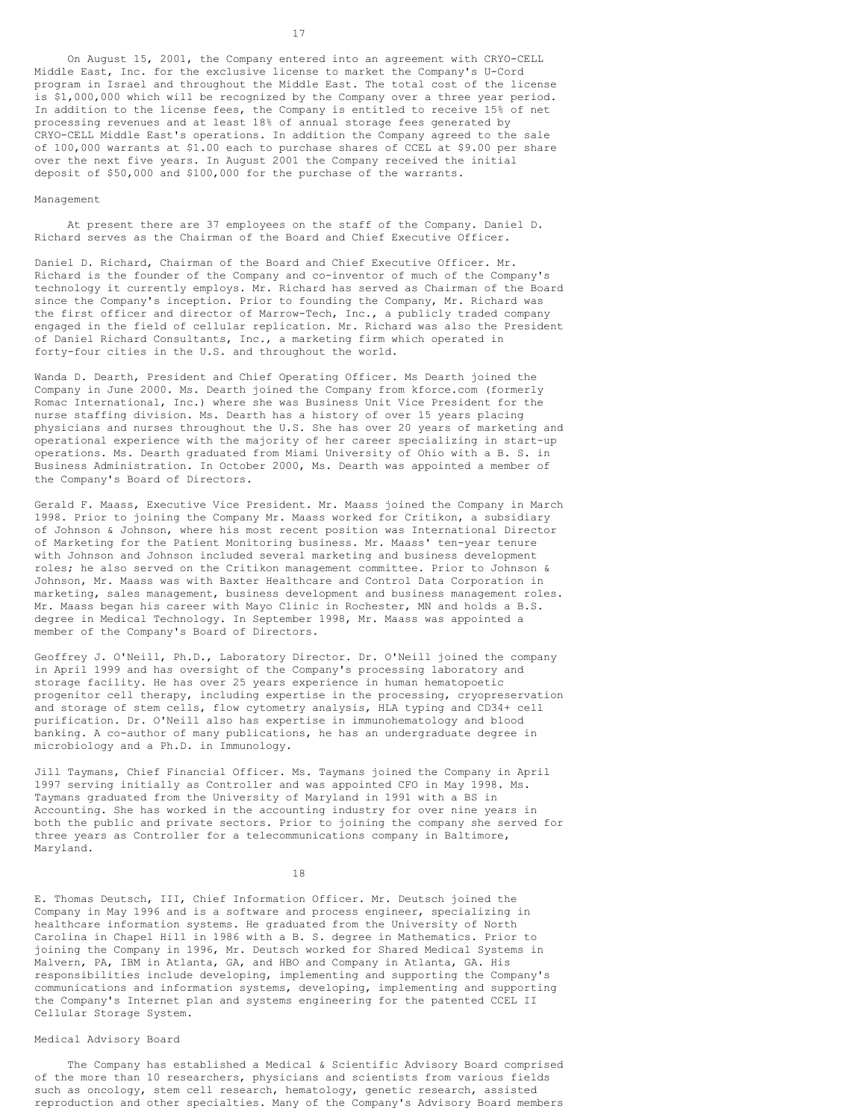On August 15, 2001, the Company entered into an agreement with CRYO-CELL Middle East, Inc. for the exclusive license to market the Company's U-Cord program in Israel and throughout the Middle East. The total cost of the license is \$1,000,000 which will be recognized by the Company over a three year period. In addition to the license fees, the Company is entitled to receive 15% of net processing revenues and at least 18% of annual storage fees generated by CRYO-CELL Middle East's operations. In addition the Company agreed to the sale of 100,000 warrants at \$1.00 each to purchase shares of CCEL at \$9.00 per share over the next five years. In August 2001 the Company received the initial deposit of \$50,000 and \$100,000 for the purchase of the warrants.

### Management

At present there are 37 employees on the staff of the Company. Daniel D. Richard serves as the Chairman of the Board and Chief Executive Officer.

Daniel D. Richard, Chairman of the Board and Chief Executive Officer. Mr. Richard is the founder of the Company and co-inventor of much of the Company's technology it currently employs. Mr. Richard has served as Chairman of the Board since the Company's inception. Prior to founding the Company, Mr. Richard was the first officer and director of Marrow-Tech, Inc., a publicly traded company engaged in the field of cellular replication. Mr. Richard was also the President of Daniel Richard Consultants, Inc., a marketing firm which operated in forty-four cities in the U.S. and throughout the world.

Wanda D. Dearth, President and Chief Operating Officer. Ms Dearth joined the Company in June 2000. Ms. Dearth joined the Company from kforce.com (formerly Romac International, Inc.) where she was Business Unit Vice President for the nurse staffing division. Ms. Dearth has a history of over 15 years placing physicians and nurses throughout the U.S. She has over 20 years of marketing and operational experience with the majority of her career specializing in start-up operations. Ms. Dearth graduated from Miami University of Ohio with a B. S. in Business Administration. In October 2000, Ms. Dearth was appointed a member of the Company's Board of Directors.

Gerald F. Maass, Executive Vice President. Mr. Maass joined the Company in March 1998. Prior to joining the Company Mr. Maass worked for Critikon, a subsidiary of Johnson & Johnson, where his most recent position was International Director of Marketing for the Patient Monitoring business. Mr. Maass' ten-year tenure with Johnson and Johnson included several marketing and business development roles; he also served on the Critikon management committee. Prior to Johnson & Johnson, Mr. Maass was with Baxter Healthcare and Control Data Corporation in marketing, sales management, business development and business management roles. Mr. Maass began his career with Mayo Clinic in Rochester, MN and holds a B.S. degree in Medical Technology. In September 1998, Mr. Maass was appointed a member of the Company's Board of Directors.

Geoffrey J. O'Neill, Ph.D., Laboratory Director. Dr. O'Neill joined the company in April 1999 and has oversight of the Company's processing laboratory and storage facility. He has over 25 years experience in human hematopoetic progenitor cell therapy, including expertise in the processing, cryopreservation and storage of stem cells, flow cytometry analysis, HLA typing and CD34+ cell purification. Dr. O'Neill also has expertise in immunohematology and blood banking. A co-author of many publications, he has an undergraduate degree in microbiology and a Ph.D. in Immunology.

Jill Taymans, Chief Financial Officer. Ms. Taymans joined the Company in April 1997 serving initially as Controller and was appointed CFO in May 1998. Ms. Taymans graduated from the University of Maryland in 1991 with a BS in Accounting. She has worked in the accounting industry for over nine years in both the public and private sectors. Prior to joining the company she served for three years as Controller for a telecommunications company in Baltimore, Maryland.

18

E. Thomas Deutsch, III, Chief Information Officer. Mr. Deutsch joined the Company in May 1996 and is a software and process engineer, specializing in healthcare information systems. He graduated from the University of North Carolina in Chapel Hill in 1986 with a B. S. degree in Mathematics. Prior to joining the Company in 1996, Mr. Deutsch worked for Shared Medical Systems in Malvern, PA, IBM in Atlanta, GA, and HBO and Company in Atlanta, GA. His responsibilities include developing, implementing and supporting the Company's communications and information systems, developing, implementing and supporting the Company's Internet plan and systems engineering for the patented CCEL II Cellular Storage System.

# Medical Advisory Board

The Company has established a Medical & Scientific Advisory Board comprised of the more than 10 researchers, physicians and scientists from various fields such as oncology, stem cell research, hematology, genetic research, assisted reproduction and other specialties. Many of the Company's Advisory Board members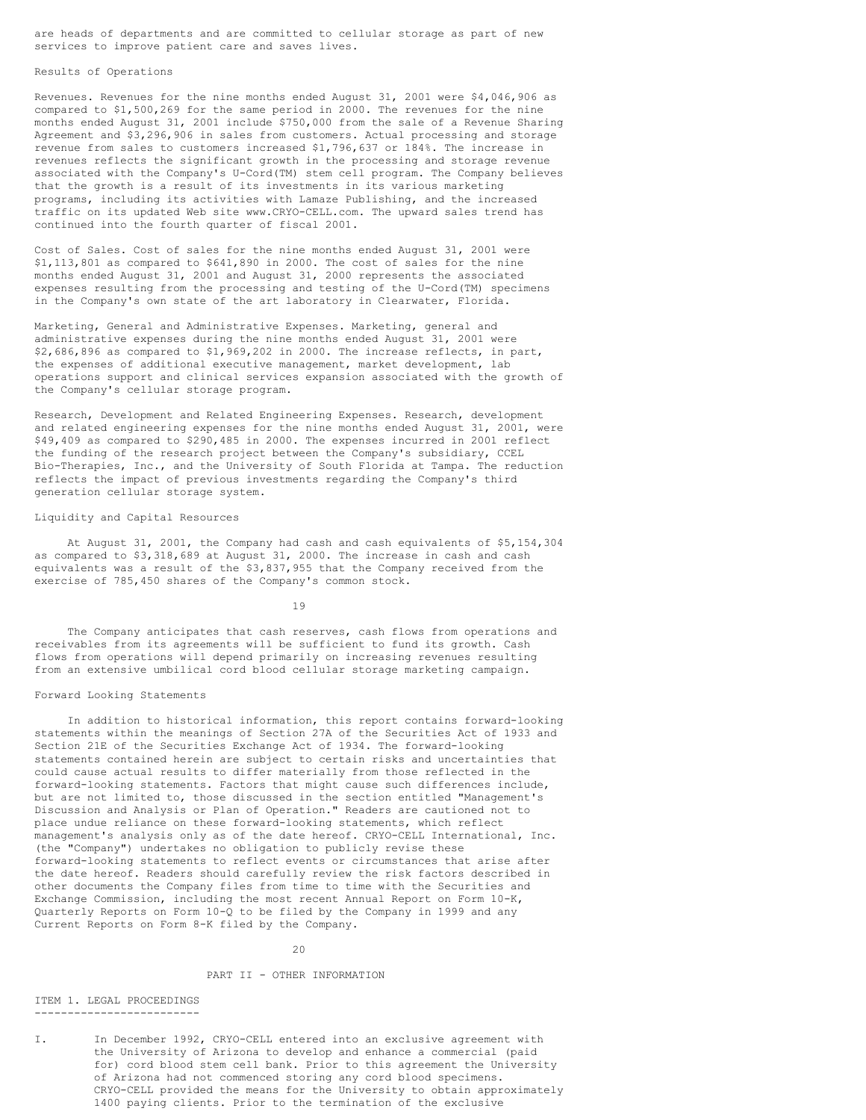are heads of departments and are committed to cellular storage as part of new services to improve patient care and saves lives.

# Results of Operations

Revenues. Revenues for the nine months ended August 31, 2001 were \$4,046,906 as compared to \$1,500,269 for the same period in 2000. The revenues for the nine months ended August 31, 2001 include \$750,000 from the sale of a Revenue Sharing Agreement and \$3,296,906 in sales from customers. Actual processing and storage revenue from sales to customers increased \$1,796,637 or 184%. The increase in revenues reflects the significant growth in the processing and storage revenue associated with the Company's U-Cord(TM) stem cell program. The Company believes that the growth is a result of its investments in its various marketing programs, including its activities with Lamaze Publishing, and the increased traffic on its updated Web site www.CRYO-CELL.com. The upward sales trend has continued into the fourth quarter of fiscal 2001.

Cost of Sales. Cost of sales for the nine months ended August 31, 2001 were \$1,113,801 as compared to \$641,890 in 2000. The cost of sales for the nine months ended August 31, 2001 and August 31, 2000 represents the associated expenses resulting from the processing and testing of the U-Cord(TM) specimens in the Company's own state of the art laboratory in Clearwater, Florida.

Marketing, General and Administrative Expenses. Marketing, general and administrative expenses during the nine months ended August 31, 2001 were \$2,686,896 as compared to \$1,969,202 in 2000. The increase reflects, in part, the expenses of additional executive management, market development, lab operations support and clinical services expansion associated with the growth of the Company's cellular storage program.

Research, Development and Related Engineering Expenses. Research, development and related engineering expenses for the nine months ended August 31, 2001, were \$49,409 as compared to \$290,485 in 2000. The expenses incurred in 2001 reflect the funding of the research project between the Company's subsidiary, CCEL Bio-Therapies, Inc., and the University of South Florida at Tampa. The reduction reflects the impact of previous investments regarding the Company's third generation cellular storage system.

### Liquidity and Capital Resources

At August 31, 2001, the Company had cash and cash equivalents of \$5,154,304 as compared to \$3,318,689 at August 31, 2000. The increase in cash and cash equivalents was a result of the \$3,837,955 that the Company received from the exercise of 785,450 shares of the Company's common stock.

19

The Company anticipates that cash reserves, cash flows from operations and receivables from its agreements will be sufficient to fund its growth. Cash flows from operations will depend primarily on increasing revenues resulting from an extensive umbilical cord blood cellular storage marketing campaign.

### Forward Looking Statements

In addition to historical information, this report contains forward-looking statements within the meanings of Section 27A of the Securities Act of 1933 and Section 21E of the Securities Exchange Act of 1934. The forward-looking statements contained herein are subject to certain risks and uncertainties that could cause actual results to differ materially from those reflected in the forward-looking statements. Factors that might cause such differences include, but are not limited to, those discussed in the section entitled "Management's Discussion and Analysis or Plan of Operation." Readers are cautioned not to place undue reliance on these forward-looking statements, which reflect management's analysis only as of the date hereof. CRYO-CELL International, Inc. (the "Company") undertakes no obligation to publicly revise these forward-looking statements to reflect events or circumstances that arise after the date hereof. Readers should carefully review the risk factors described in other documents the Company files from time to time with the Securities and Exchange Commission, including the most recent Annual Report on Form 10-K, Quarterly Reports on Form 10-Q to be filed by the Company in 1999 and any Current Reports on Form 8-K filed by the Company.

 $20$ 

### PART II - OTHER INFORMATION

#### ITEM 1. LEGAL PROCEEDINGS -------------------------

I. In December 1992, CRYO-CELL entered into an exclusive agreement with the University of Arizona to develop and enhance a commercial (paid for) cord blood stem cell bank. Prior to this agreement the University of Arizona had not commenced storing any cord blood specimens. CRYO-CELL provided the means for the University to obtain approximately 1400 paying clients. Prior to the termination of the exclusive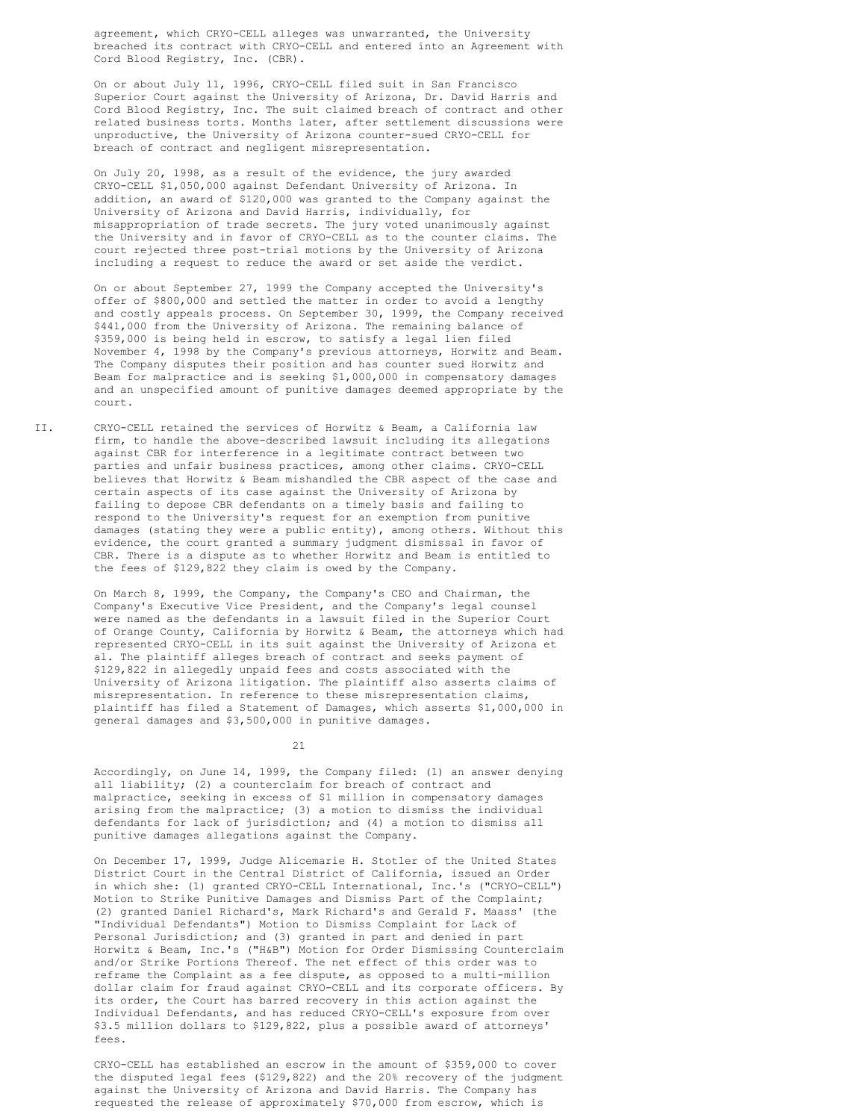agreement, which CRYO-CELL alleges was unwarranted, the University breached its contract with CRYO-CELL and entered into an Agreement with Cord Blood Registry, Inc. (CBR).

On or about July 11, 1996, CRYO-CELL filed suit in San Francisco Superior Court against the University of Arizona, Dr. David Harris and Cord Blood Registry, Inc. The suit claimed breach of contract and other related business torts. Months later, after settlement discussions were unproductive, the University of Arizona counter-sued CRYO-CELL for breach of contract and negligent misrepresentation.

On July 20, 1998, as a result of the evidence, the jury awarded CRYO-CELL \$1,050,000 against Defendant University of Arizona. In addition, an award of \$120,000 was granted to the Company against the University of Arizona and David Harris, individually, for misappropriation of trade secrets. The jury voted unanimously against the University and in favor of CRYO-CELL as to the counter claims. The court rejected three post-trial motions by the University of Arizona including a request to reduce the award or set aside the verdict.

On or about September 27, 1999 the Company accepted the University's offer of \$800,000 and settled the matter in order to avoid a lengthy and costly appeals process. On September 30, 1999, the Company received \$441,000 from the University of Arizona. The remaining balance of \$359,000 is being held in escrow, to satisfy a legal lien filed November 4, 1998 by the Company's previous attorneys, Horwitz and Beam. The Company disputes their position and has counter sued Horwitz and Beam for malpractice and is seeking \$1,000,000 in compensatory damages and an unspecified amount of punitive damages deemed appropriate by the court.

II. CRYO-CELL retained the services of Horwitz & Beam, a California law firm, to handle the above-described lawsuit including its allegations against CBR for interference in a legitimate contract between two parties and unfair business practices, among other claims. CRYO-CELL believes that Horwitz & Beam mishandled the CBR aspect of the case and certain aspects of its case against the University of Arizona by failing to depose CBR defendants on a timely basis and failing to respond to the University's request for an exemption from punitive damages (stating they were a public entity), among others. Without this evidence, the court granted a summary judgment dismissal in favor of CBR. There is a dispute as to whether Horwitz and Beam is entitled to the fees of \$129,822 they claim is owed by the Company.

> On March 8, 1999, the Company, the Company's CEO and Chairman, the Company's Executive Vice President, and the Company's legal counsel were named as the defendants in a lawsuit filed in the Superior Court of Orange County, California by Horwitz & Beam, the attorneys which had represented CRYO-CELL in its suit against the University of Arizona et al. The plaintiff alleges breach of contract and seeks payment of \$129,822 in allegedly unpaid fees and costs associated with the University of Arizona litigation. The plaintiff also asserts claims of misrepresentation. In reference to these misrepresentation claims, plaintiff has filed a Statement of Damages, which asserts \$1,000,000 in general damages and \$3,500,000 in punitive damages.

> > 21

Accordingly, on June 14, 1999, the Company filed: (1) an answer denying all liability; (2) a counterclaim for breach of contract and malpractice, seeking in excess of \$1 million in compensatory damages arising from the malpractice; (3) a motion to dismiss the individual defendants for lack of jurisdiction; and (4) a motion to dismiss all punitive damages allegations against the Company.

On December 17, 1999, Judge Alicemarie H. Stotler of the United States District Court in the Central District of California, issued an Order in which she: (1) granted CRYO-CELL International, Inc.'s ("CRYO-CELL") Motion to Strike Punitive Damages and Dismiss Part of the Complaint; (2) granted Daniel Richard's, Mark Richard's and Gerald F. Maass' (the "Individual Defendants") Motion to Dismiss Complaint for Lack of Personal Jurisdiction; and (3) granted in part and denied in part Horwitz & Beam, Inc.'s ("H&B") Motion for Order Dismissing Counterclaim and/or Strike Portions Thereof. The net effect of this order was to reframe the Complaint as a fee dispute, as opposed to a multi-million dollar claim for fraud against CRYO-CELL and its corporate officers. By its order, the Court has barred recovery in this action against the Individual Defendants, and has reduced CRYO-CELL's exposure from over \$3.5 million dollars to \$129,822, plus a possible award of attorneys' fees.

CRYO-CELL has established an escrow in the amount of \$359,000 to cover the disputed legal fees (\$129,822) and the 20% recovery of the judgment against the University of Arizona and David Harris. The Company has requested the release of approximately \$70,000 from escrow, which is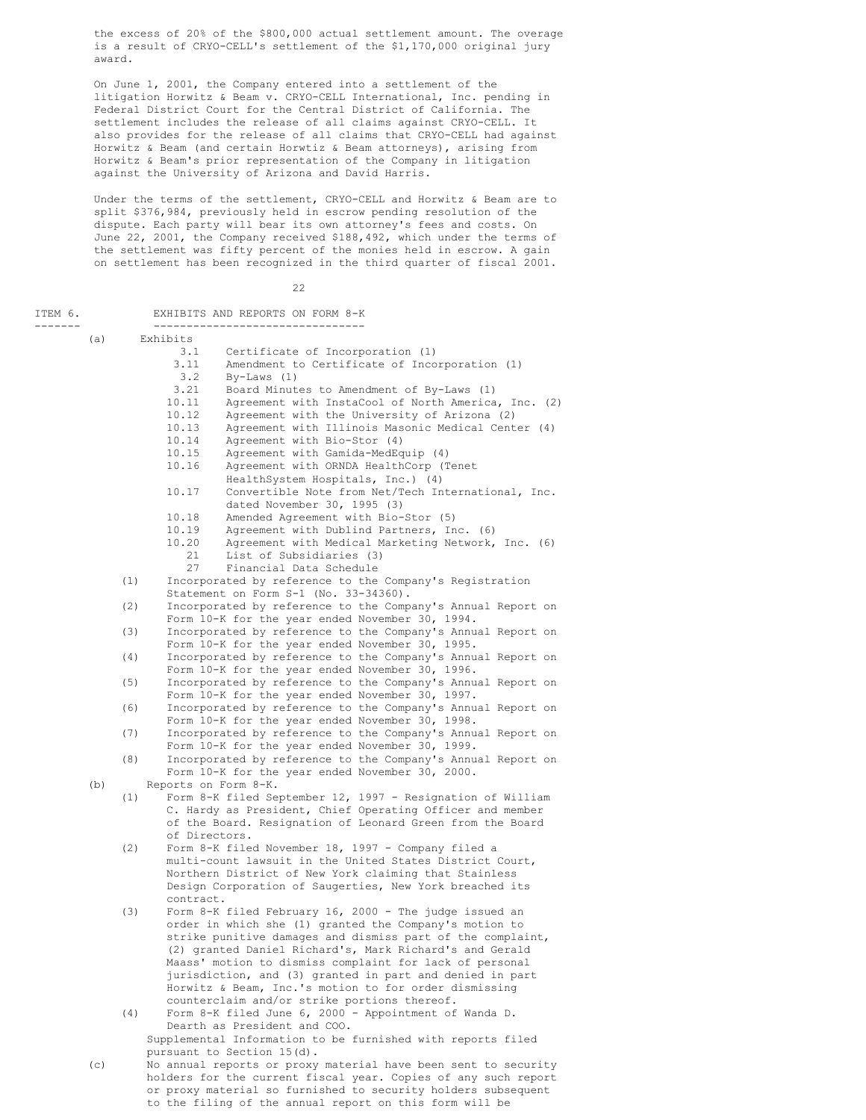the excess of 20% of the \$800,000 actual settlement amount. The overage is a result of CRYO-CELL's settlement of the \$1,170,000 original jury award.

On June 1, 2001, the Company entered into a settlement of the litigation Horwitz & Beam v. CRYO-CELL International, Inc. pending in Federal District Court for the Central District of California. The settlement includes the release of all claims against CRYO-CELL. It also provides for the release of all claims that CRYO-CELL had against Horwitz & Beam (and certain Horwtiz & Beam attorneys), arising from Horwitz & Beam's prior representation of the Company in litigation against the University of Arizona and David Harris.

Under the terms of the settlement, CRYO-CELL and Horwitz & Beam are to split \$376,984, previously held in escrow pending resolution of the dispute. Each party will bear its own attorney's fees and costs. On June 22, 2001, the Company received \$188,492, which under the terms of the settlement was fifty percent of the monies held in escrow. A gain on settlement has been recognized in the third quarter of fiscal 2001.

22

ITEM 6. EXHIBITS AND REPORTS ON FORM 8-K ------- -------------------------------- (a) Exhibits 3.1 Certificate of Incorporation (1)<br>3.11 Amendment to Certificate of Inco Amendment to Certificate of Incorporation (1) 3.2 By-Laws (1) 3.21 Board Minutes to Amendment of By-Laws (1) 10.11 Agreement with InstaCool of North America, Inc. (2)<br>10.12 Agreement with the University of Arizona (2) Agreement with the University of Arizona (2) 10.13 Agreement with Illinois Masonic Medical Center (4)<br>10.14 Agreement with Bio-Stor (4) Agreement with Bio-Stor (4) 10.15 Agreement with Gamida-MedEquip (4)<br>10.16 Agreement with ORNDA HealthCorp (T Agreement with ORNDA HealthCorp (Tenet HealthSystem Hospitals, Inc.) (4) 10.17 Convertible Note from Net/Tech International, Inc. dated November 30, 1995 (3) 10.18 Amended Agreement with Bio-Stor (5) 10.19 Agreement with Dublind Partners, Inc. (6)<br>10.20 Agreement with Medical Marketing Network. Agreement with Medical Marketing Network, Inc. (6) 21 List of Subsidiaries (3)<br>27 Financial Data Schedule Financial Data Schedule (1) Incorporated by reference to the Company's Registration Statement on Form S-1 (No. 33-34360). (2) Incorporated by reference to the Company's Annual Report on Form 10-K for the year ended November 30, 1994. (3) Incorporated by reference to the Company's Annual Report on Form 10-K for the year ended November 30, 1995. (4) Incorporated by reference to the Company's Annual Report on Form 10-K for the year ended November 30, 1996. (5) Incorporated by reference to the Company's Annual Report on Form 10-K for the year ended November 30, 1997. (6) Incorporated by reference to the Company's Annual Report on Form 10-K for the year ended November 30, 1998. (7) Incorporated by reference to the Company's Annual Report on Form 10-K for the year ended November 30, 1999. (8) Incorporated by reference to the Company's Annual Report on Form 10-K for the year ended November 30, 2000. (b) Reports on Form 8-K. (1) Form 8-K filed September 12, 1997 - Resignation of William C. Hardy as President, Chief Operating Officer and member of the Board. Resignation of Leonard Green from the Board of Directors. (2) Form 8-K filed November 18, 1997 - Company filed a multi-count lawsuit in the United States District Court, Northern District of New York claiming that Stainless Design Corporation of Saugerties, New York breached its contract. (3) Form 8-K filed February 16, 2000 - The judge issued an order in which she (1) granted the Company's motion to strike punitive damages and dismiss part of the complaint, (2) granted Daniel Richard's, Mark Richard's and Gerald Maass' motion to dismiss complaint for lack of personal jurisdiction, and (3) granted in part and denied in part Horwitz & Beam, Inc.'s motion to for order dismissing counterclaim and/or strike portions thereof. (4) Form 8-K filed June 6, 2000 - Appointment of Wanda D. Dearth as President and COO. Supplemental Information to be furnished with reports filed pursuant to Section 15(d). (c) No annual reports or proxy material have been sent to security holders for the current fiscal year. Copies of any such report

or proxy material so furnished to security holders subsequent to the filing of the annual report on this form will be